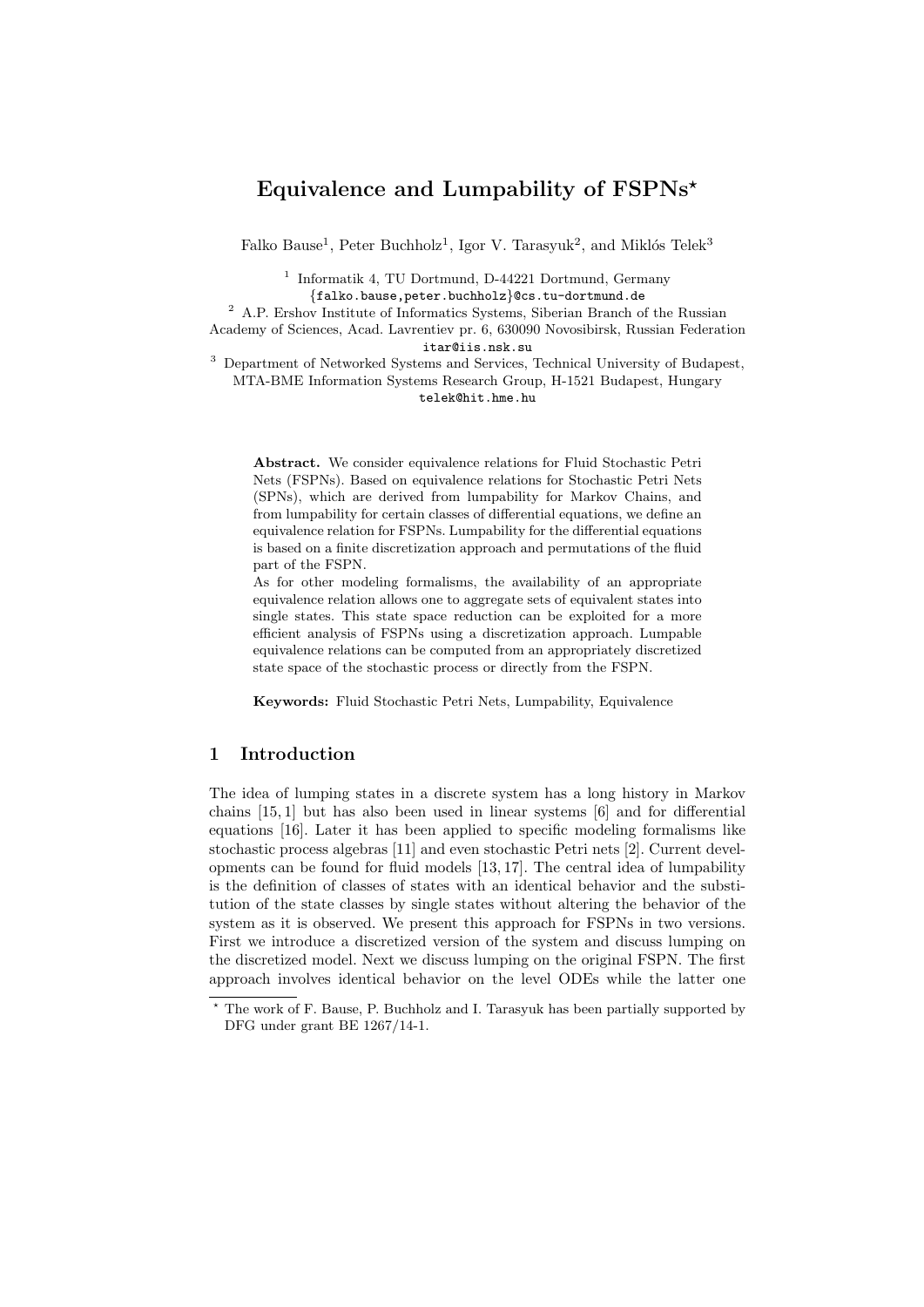# Equivalence and Lumpability of  $FSPNs^*$

Falko Bause<sup>1</sup>, Peter Buchholz<sup>1</sup>, Igor V. Tarasyuk<sup>2</sup>, and Miklós Telek<sup>3</sup>

<sup>1</sup> Informatik 4, TU Dortmund, D-44221 Dortmund, Germany {falko.bause,peter.buchholz}@cs.tu-dortmund.de

<sup>2</sup> A.P. Ershov Institute of Informatics Systems, Siberian Branch of the Russian

Academy of Sciences, Acad. Lavrentiev pr. 6, 630090 Novosibirsk, Russian Federation itar@iis.nsk.su

<sup>3</sup> Department of Networked Systems and Services, Technical University of Budapest, MTA-BME Information Systems Research Group, H-1521 Budapest, Hungary telek@hit.hme.hu

Abstract. We consider equivalence relations for Fluid Stochastic Petri Nets (FSPNs). Based on equivalence relations for Stochastic Petri Nets (SPNs), which are derived from lumpability for Markov Chains, and from lumpability for certain classes of differential equations, we define an equivalence relation for FSPNs. Lumpability for the differential equations is based on a finite discretization approach and permutations of the fluid part of the FSPN.

As for other modeling formalisms, the availability of an appropriate equivalence relation allows one to aggregate sets of equivalent states into single states. This state space reduction can be exploited for a more efficient analysis of FSPNs using a discretization approach. Lumpable equivalence relations can be computed from an appropriately discretized state space of the stochastic process or directly from the FSPN.

Keywords: Fluid Stochastic Petri Nets, Lumpability, Equivalence

## 1 Introduction

The idea of lumping states in a discrete system has a long history in Markov chains [15, 1] but has also been used in linear systems [6] and for differential equations [16]. Later it has been applied to specific modeling formalisms like stochastic process algebras [11] and even stochastic Petri nets [2]. Current developments can be found for fluid models [13, 17]. The central idea of lumpability is the definition of classes of states with an identical behavior and the substitution of the state classes by single states without altering the behavior of the system as it is observed. We present this approach for FSPNs in two versions. First we introduce a discretized version of the system and discuss lumping on the discretized model. Next we discuss lumping on the original FSPN. The first approach involves identical behavior on the level ODEs while the latter one

<sup>?</sup> The work of F. Bause, P. Buchholz and I. Tarasyuk has been partially supported by DFG under grant BE 1267/14-1.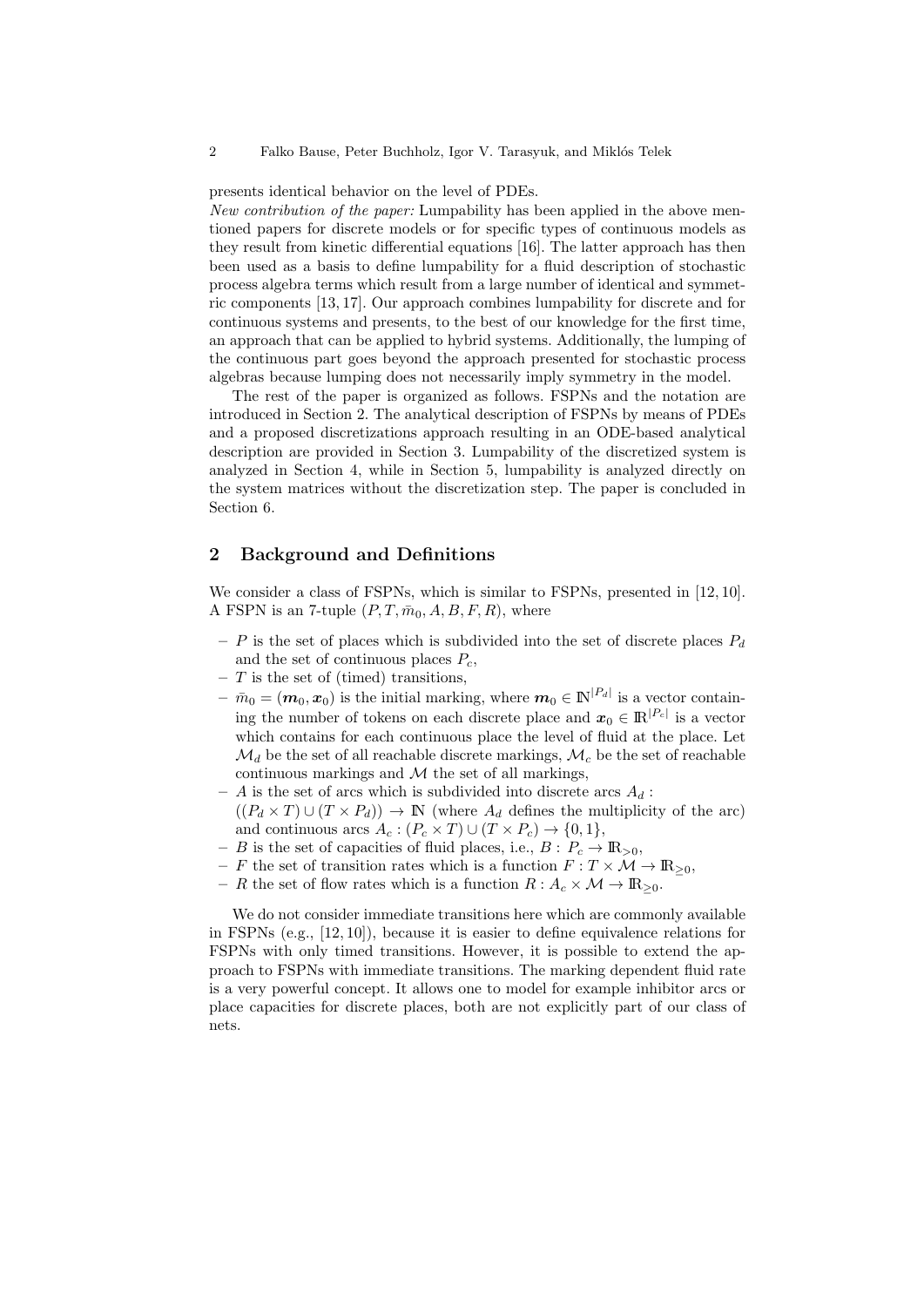presents identical behavior on the level of PDEs.

New contribution of the paper: Lumpability has been applied in the above mentioned papers for discrete models or for specific types of continuous models as they result from kinetic differential equations [16]. The latter approach has then been used as a basis to define lumpability for a fluid description of stochastic process algebra terms which result from a large number of identical and symmetric components [13, 17]. Our approach combines lumpability for discrete and for continuous systems and presents, to the best of our knowledge for the first time, an approach that can be applied to hybrid systems. Additionally, the lumping of the continuous part goes beyond the approach presented for stochastic process algebras because lumping does not necessarily imply symmetry in the model.

The rest of the paper is organized as follows. FSPNs and the notation are introduced in Section 2. The analytical description of FSPNs by means of PDEs and a proposed discretizations approach resulting in an ODE-based analytical description are provided in Section 3. Lumpability of the discretized system is analyzed in Section 4, while in Section 5, lumpability is analyzed directly on the system matrices without the discretization step. The paper is concluded in Section 6.

### 2 Background and Definitions

We consider a class of FSPNs, which is similar to FSPNs, presented in [12, 10]. A FSPN is an 7-tuple  $(P, T, \bar{m}_0, A, B, F, R)$ , where

- P is the set of places which is subdivided into the set of discrete places  $P_d$ and the set of continuous places  $P_c$ ,
- $-$  T is the set of (timed) transitions,
- $\bar{m}_0 = (m_0, x_0)$  is the initial marking, where  $m_0 \in \mathbb{N}^{|P_d|}$  is a vector containing the number of tokens on each discrete place and  $x_0 \in \mathbb{R}^{|P_c|}$  is a vector which contains for each continuous place the level of fluid at the place. Let  $\mathcal{M}_d$  be the set of all reachable discrete markings,  $\mathcal{M}_c$  be the set of reachable continuous markings and  $\mathcal M$  the set of all markings,
- A is the set of arcs which is subdivided into discrete arcs  $A_d$ :  $((P_d \times T) \cup (T \times P_d)) \rightarrow \mathbb{N}$  (where  $A_d$  defines the multiplicity of the arc) and continuous arcs  $A_c : (P_c \times T) \cup (T \times P_c) \rightarrow \{0,1\},\$
- B is the set of capacities of fluid places, i.e.,  $B: P_c \to \mathbb{R}_{>0}$ ,
- F the set of transition rates which is a function  $F: T \times \mathcal{M} \to \mathbb{R}_{\geq 0}$ ,
- R the set of flow rates which is a function  $R: A_c \times \mathcal{M} \to \mathbb{R}_{\geq 0}$ .

We do not consider immediate transitions here which are commonly available in FSPNs (e.g., [12, 10]), because it is easier to define equivalence relations for FSPNs with only timed transitions. However, it is possible to extend the approach to FSPNs with immediate transitions. The marking dependent fluid rate is a very powerful concept. It allows one to model for example inhibitor arcs or place capacities for discrete places, both are not explicitly part of our class of nets.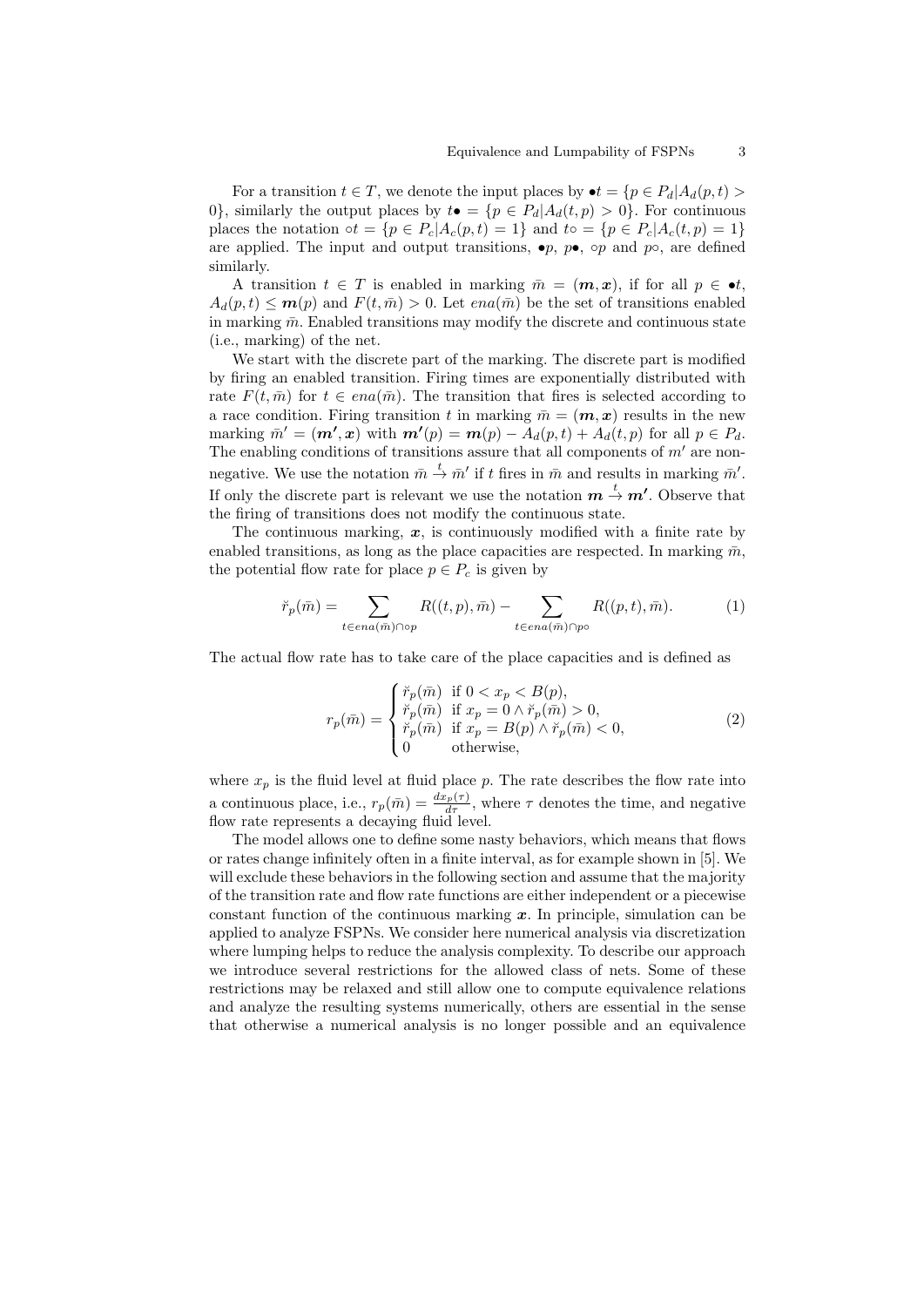For a transition  $t \in T$ , we denote the input places by  $\bullet t = \{p \in P_d | A_d(p, t) >$ 0, similarly the output places by  $t\bullet = \{p \in P_d | A_d(t,p) > 0\}$ . For continuous places the notation  $\circ t = \{p \in P_c | A_c(p, t) = 1\}$  and  $t \circ \circ f = \{p \in P_c | A_c(t, p) = 1\}$ are applied. The input and output transitions,  $\bullet p$ ,  $p \bullet$ ,  $\circ p$  and  $p \circ$ , are defined similarly.

A transition  $t \in T$  is enabled in marking  $\bar{m} = (m, x)$ , if for all  $p \in \bullet t$ ,  $A_d(p, t) \leq m(p)$  and  $F(t, \bar{m}) > 0$ . Let  $ena(\bar{m})$  be the set of transitions enabled in marking  $\bar{m}$ . Enabled transitions may modify the discrete and continuous state (i.e., marking) of the net.

We start with the discrete part of the marking. The discrete part is modified by firing an enabled transition. Firing times are exponentially distributed with rate  $F(t, \bar{m})$  for  $t \in ena(\bar{m})$ . The transition that fires is selected according to a race condition. Firing transition t in marking  $\bar{m} = (\mathbf{m}, \mathbf{x})$  results in the new marking  $\bar{m}' = (\mathbf{m}', \mathbf{x})$  with  $\mathbf{m}'(p) = \mathbf{m}(p) - A_d(p, t) + A_d(t, p)$  for all  $p \in P_d$ . The enabling conditions of transitions assure that all components of  $m'$  are nonnegative. We use the notation  $\bar{m} \stackrel{t}{\rightarrow} \bar{m}'$  if t fires in  $\bar{m}$  and results in marking  $\bar{m}'$ . If only the discrete part is relevant we use the notation  $m \stackrel{t}{\rightarrow} m'$ . Observe that the firing of transitions does not modify the continuous state.

The continuous marking,  $x$ , is continuously modified with a finite rate by enabled transitions, as long as the place capacities are respected. In marking  $\bar{m}$ , the potential flow rate for place  $p \in P_c$  is given by

$$
\breve{r}_p(\bar{m}) = \sum_{t \in en(\bar{m}) \cap op} R((t, p), \bar{m}) - \sum_{t \in en(\bar{m}) \cap po} R((p, t), \bar{m}).
$$
\n(1)

The actual flow rate has to take care of the place capacities and is defined as

$$
r_p(\bar{m}) = \begin{cases} \breve{r}_p(\bar{m}) & \text{if } 0 < x_p < B(p), \\ \breve{r}_p(\bar{m}) & \text{if } x_p = 0 \land \breve{r}_p(\bar{m}) > 0, \\ \breve{r}_p(\bar{m}) & \text{if } x_p = B(p) \land \breve{r}_p(\bar{m}) < 0, \\ 0 & \text{otherwise,} \end{cases} \tag{2}
$$

where  $x_p$  is the fluid level at fluid place p. The rate describes the flow rate into a continuous place, i.e.,  $r_p(\bar{m}) = \frac{dx_p(\tau)}{d\tau}$ , where  $\tau$  denotes the time, and negative flow rate represents a decaying fluid level.

The model allows one to define some nasty behaviors, which means that flows or rates change infinitely often in a finite interval, as for example shown in [5]. We will exclude these behaviors in the following section and assume that the majority of the transition rate and flow rate functions are either independent or a piecewise constant function of the continuous marking  $x$ . In principle, simulation can be applied to analyze FSPNs. We consider here numerical analysis via discretization where lumping helps to reduce the analysis complexity. To describe our approach we introduce several restrictions for the allowed class of nets. Some of these restrictions may be relaxed and still allow one to compute equivalence relations and analyze the resulting systems numerically, others are essential in the sense that otherwise a numerical analysis is no longer possible and an equivalence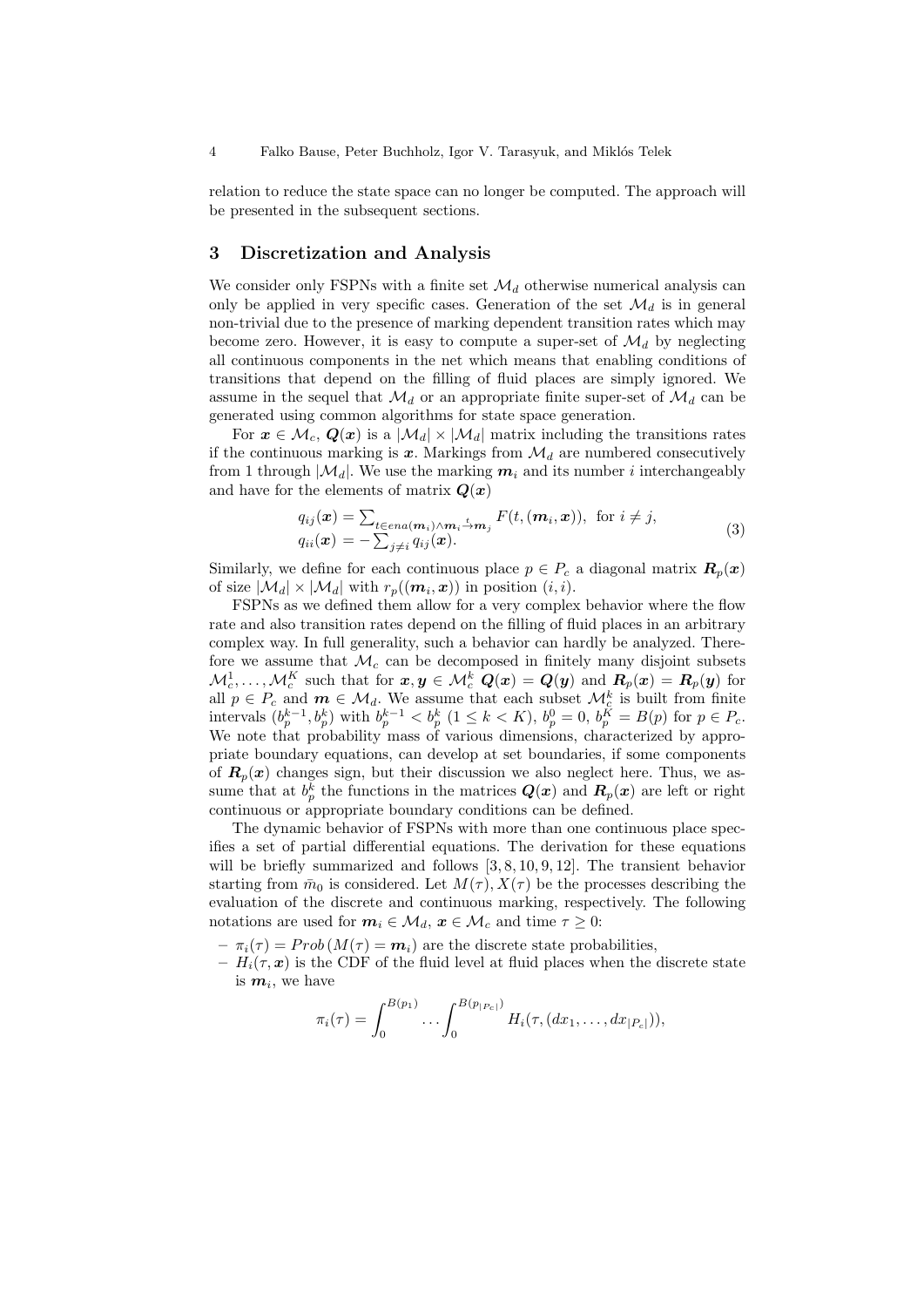relation to reduce the state space can no longer be computed. The approach will be presented in the subsequent sections.

### 3 Discretization and Analysis

We consider only FSPNs with a finite set  $\mathcal{M}_d$  otherwise numerical analysis can only be applied in very specific cases. Generation of the set  $\mathcal{M}_d$  is in general non-trivial due to the presence of marking dependent transition rates which may become zero. However, it is easy to compute a super-set of  $\mathcal{M}_d$  by neglecting all continuous components in the net which means that enabling conditions of transitions that depend on the filling of fluid places are simply ignored. We assume in the sequel that  $\mathcal{M}_d$  or an appropriate finite super-set of  $\mathcal{M}_d$  can be generated using common algorithms for state space generation.

For  $x \in \mathcal{M}_c, Q(x)$  is a  $|\mathcal{M}_d| \times |\mathcal{M}_d|$  matrix including the transitions rates if the continuous marking is x. Markings from  $\mathcal{M}_d$  are numbered consecutively from 1 through  $|\mathcal{M}_d|$ . We use the marking  $m_i$  and its number i interchangeably and have for the elements of matrix  $Q(x)$ 

$$
q_{ij}(\boldsymbol{x}) = \sum_{t \in en(\boldsymbol{m}_i) \wedge \boldsymbol{m}_i} \sum_{j \neq i} F(t, (\boldsymbol{m}_i, \boldsymbol{x})), \text{ for } i \neq j,
$$
  
\n
$$
q_{ii}(\boldsymbol{x}) = -\sum_{j \neq i} q_{ij}(\boldsymbol{x}).
$$
\n(3)

Similarly, we define for each continuous place  $p \in P_c$  a diagonal matrix  $\mathbf{R}_p(x)$ of size  $|\mathcal{M}_d| \times |\mathcal{M}_d|$  with  $r_p((\boldsymbol{m}_i,\boldsymbol{x}))$  in position  $(i,i)$ .

FSPNs as we defined them allow for a very complex behavior where the flow rate and also transition rates depend on the filling of fluid places in an arbitrary complex way. In full generality, such a behavior can hardly be analyzed. Therefore we assume that  $\mathcal{M}_c$  can be decomposed in finitely many disjoint subsets  $\mathcal{M}^1_c,\ldots,\mathcal{M}^K_c$  such that for  $\bm{x},\bm{y}\in\mathcal{M}^k_c$   $\bm{Q}(\bm{x})=\bm{Q}(\bm{y})$  and  $\bm{R}_p(\bm{x})=\bm{R}_p(\bm{y})$  for all  $p \in P_c$  and  $m \in \mathcal{M}_d$ . We assume that each subset  $\mathcal{M}_c^k$  is built from finite intervals  $(b_p^{k-1}, b_p^k)$  with  $b_p^{k-1} < b_p^k$   $(1 \le k \le K)$ ,  $b_p^0 = 0$ ,  $b_p^K = B(p)$  for  $p \in P_c$ . We note that probability mass of various dimensions, characterized by appropriate boundary equations, can develop at set boundaries, if some components of  $\mathbf{R}_p(x)$  changes sign, but their discussion we also neglect here. Thus, we assume that at  $b_p^k$  the functions in the matrices  $\mathbf{Q}(\mathbf{x})$  and  $\mathbf{R}_p(\mathbf{x})$  are left or right continuous or appropriate boundary conditions can be defined.

The dynamic behavior of FSPNs with more than one continuous place specifies a set of partial differential equations. The derivation for these equations will be briefly summarized and follows  $[3, 8, 10, 9, 12]$ . The transient behavior starting from  $\bar{m}_0$  is considered. Let  $M(\tau)$ ,  $X(\tau)$  be the processes describing the evaluation of the discrete and continuous marking, respectively. The following notations are used for  $m_i \in \mathcal{M}_d$ ,  $x \in \mathcal{M}_c$  and time  $\tau \geq 0$ :

 $-\pi_i(\tau) = Prob(M(\tau) = m_i)$  are the discrete state probabilities,

 $-H_i(\tau, x)$  is the CDF of the fluid level at fluid places when the discrete state is  $m_i$ , we have

$$
\pi_i(\tau) = \int_0^{B(p_1)} \dots \int_0^{B(p_{|P_c|})} H_i(\tau, (dx_1, \dots, dx_{|P_c|})),
$$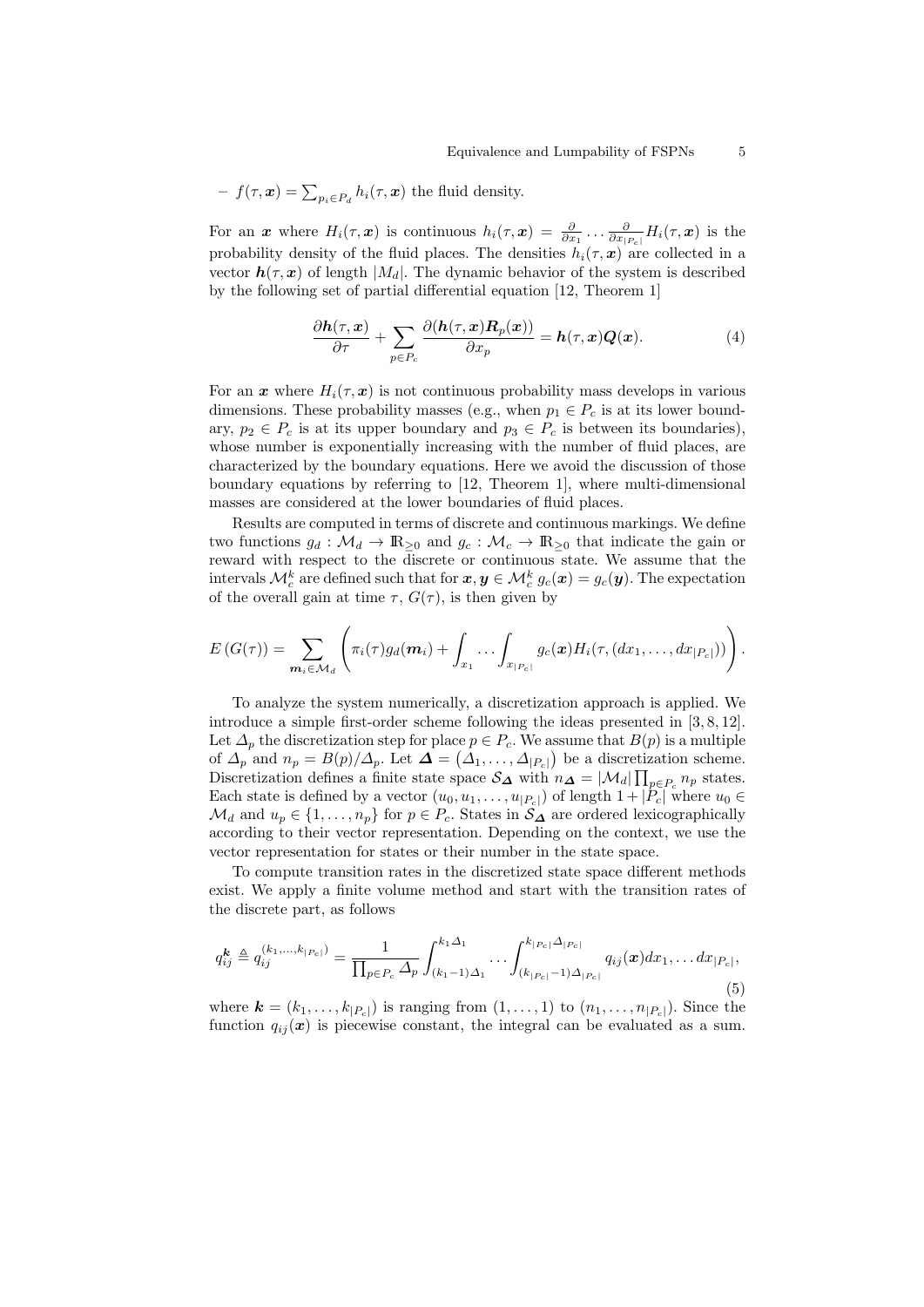- 
$$
f(\tau, \mathbf{x}) = \sum_{p_i \in P_d} h_i(\tau, \mathbf{x})
$$
 the fluid density.

For an x where  $H_i(\tau, x)$  is continuous  $h_i(\tau, x) = \frac{\partial}{\partial x_1} \dots \frac{\partial}{\partial x_{|P_c|}} H_i(\tau, x)$  is the probability density of the fluid places. The densities  $h_i(\tau, x)$  are collected in a vector  $h(\tau, x)$  of length  $|M_d|$ . The dynamic behavior of the system is described by the following set of partial differential equation [12, Theorem 1]

$$
\frac{\partial \mathbf{h}(\tau, \mathbf{x})}{\partial \tau} + \sum_{p \in P_c} \frac{\partial (\mathbf{h}(\tau, \mathbf{x}) \mathbf{R}_p(\mathbf{x}))}{\partial x_p} = \mathbf{h}(\tau, \mathbf{x}) \mathbf{Q}(\mathbf{x}). \tag{4}
$$

For an x where  $H_i(\tau, x)$  is not continuous probability mass develops in various dimensions. These probability masses (e.g., when  $p_1 \in P_c$  is at its lower boundary,  $p_2 \in P_c$  is at its upper boundary and  $p_3 \in P_c$  is between its boundaries), whose number is exponentially increasing with the number of fluid places, are characterized by the boundary equations. Here we avoid the discussion of those boundary equations by referring to [12, Theorem 1], where multi-dimensional masses are considered at the lower boundaries of fluid places.

Results are computed in terms of discrete and continuous markings. We define two functions  $g_d : \mathcal{M}_d \to \mathbb{R}_{\geq 0}$  and  $g_c : \mathcal{M}_c \to \mathbb{R}_{\geq 0}$  that indicate the gain or reward with respect to the discrete or continuous state. We assume that the intervals  $\mathcal{M}_c^k$  are defined such that for  $\bm{x},\bm{y}\in\mathcal{M}_c^k$   $g_c(\bm{x})=g_c(\bm{y}).$  The expectation of the overall gain at time  $\tau$ ,  $G(\tau)$ , is then given by

$$
E\left(G(\tau)\right)=\sum_{\mathbf{m}_i\in\mathcal{M}_d}\left(\pi_i(\tau)g_d(\mathbf{m}_i)+\int_{x_1}\ldots\int_{x_{|P_c|}}g_c(\mathbf{x})H_i(\tau,(dx_1,\ldots,dx_{|P_c|}))\right).
$$

To analyze the system numerically, a discretization approach is applied. We introduce a simple first-order scheme following the ideas presented in [3, 8, 12]. Let  $\Delta_p$  the discretization step for place  $p \in P_c$ . We assume that  $B(p)$  is a multiple of  $\Delta_p$  and  $n_p = B(p)/\Delta_p$ . Let  $\Delta = (\Delta_1, \ldots, \Delta_{|P_c|})$  be a discretization scheme. Discretization defines a finite state space  $\mathcal{S}_{\Delta}$  with  $n_{\Delta} = |\mathcal{M}_d| \prod_{p \in P_c} n_p$  states. Each state is defined by a vector  $(u_0, u_1, \ldots, u_{|P_c|})$  of length  $1 + |P_c|$  where  $u_0 \in$  $\mathcal{M}_d$  and  $u_p \in \{1, \ldots, n_p\}$  for  $p \in P_c$ . States in  $\mathcal{S}_{\Delta}$  are ordered lexicographically according to their vector representation. Depending on the context, we use the vector representation for states or their number in the state space.

To compute transition rates in the discretized state space different methods exist. We apply a finite volume method and start with the transition rates of the discrete part, as follows

$$
q_{ij}^{\mathbf{k}} \triangleq q_{ij}^{(k_1,...,k_{|P_c|})} = \frac{1}{\prod_{p \in P_c} \Delta_p} \int_{(k_1-1)\Delta_1}^{k_1\Delta_1} \cdots \int_{(k_{|P_c|}-1)\Delta_{|P_c|}}^{k_{|P_c|}\Delta_{|P_c|}} q_{ij}(\mathbf{x}) dx_1, \ldots dx_{|P_c|},
$$
\n(5)

where  $\mathbf{k} = (k_1, \ldots, k_{|P_c|})$  is ranging from  $(1, \ldots, 1)$  to  $(n_1, \ldots, n_{|P_c|})$ . Since the function  $q_{ij}(\boldsymbol{x})$  is piecewise constant, the integral can be evaluated as a sum.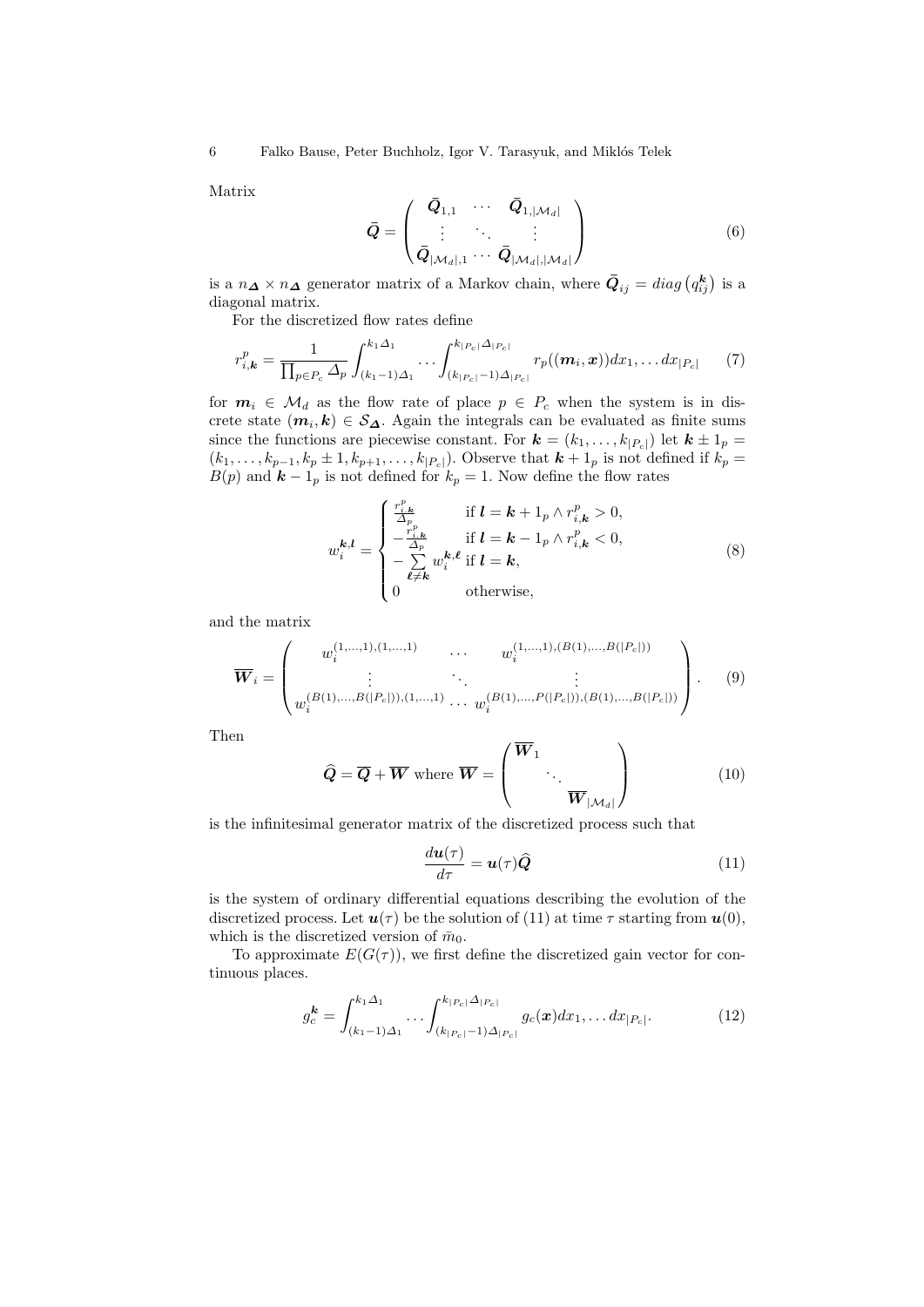Matrix

$$
\bar{Q} = \begin{pmatrix} \bar{Q}_{1,1} & \cdots & \bar{Q}_{1,|\mathcal{M}_d|} \\ \vdots & \ddots & \vdots \\ \bar{Q}_{|\mathcal{M}_d|,1} & \cdots & \bar{Q}_{|\mathcal{M}_d|,|\mathcal{M}_d|} \end{pmatrix}
$$
(6)

is a  $n_{\mathbf{\Delta}} \times n_{\mathbf{\Delta}}$  generator matrix of a Markov chain, where  $\bar{Q}_{ij} = diag(q_{ij}^{\mathbf{k}})$  is a diagonal matrix.

For the discretized flow rates define

$$
r_{i,k}^p = \frac{1}{\prod_{p \in P_c} \Delta_p} \int_{(k_1 - 1)\Delta_1}^{k_1 \Delta_1} \cdots \int_{(k_{|P_c|} - 1)\Delta_{|P_c|}}^{k_{|P_c|} \Delta_{|P_c|}} r_p((\boldsymbol{m}_i, \boldsymbol{x})) dx_1, \ldots dx_{|P_c|} \tag{7}
$$

for  $m_i \in \mathcal{M}_d$  as the flow rate of place  $p \in P_c$  when the system is in discrete state  $(m_i, k) \in S_{\Delta}$ . Again the integrals can be evaluated as finite sums since the functions are piecewise constant. For  $\mathbf{k} = (k_1, \ldots, k_{|P_c|})$  let  $\mathbf{k} \pm 1_p =$  $(k_1, \ldots, k_{p-1}, k_p \pm 1, k_{p+1}, \ldots, k_{|P_c|})$ . Observe that  $k + 1_p$  is not defined if  $k_p =$  $B(p)$  and  $k-1<sub>p</sub>$  is not defined for  $k<sub>p</sub> = 1$ . Now define the flow rates

$$
w_i^{\mathbf{k},\mathbf{l}} = \begin{cases} \frac{r_{i,\mathbf{k}}^p}{\Delta_{p_p}} & \text{if } \mathbf{l} = \mathbf{k} + 1_p \wedge r_{i,\mathbf{k}}^p > 0, \\ -\frac{r_{i,\mathbf{k}}^p}{\Delta_p} & \text{if } \mathbf{l} = \mathbf{k} - 1_p \wedge r_{i,\mathbf{k}}^p < 0, \\ -\sum_{\ell \neq \mathbf{k}} w_i^{\mathbf{k},\ell} & \text{if } \mathbf{l} = \mathbf{k}, \\ 0 & \text{otherwise}, \end{cases}
$$
 (8)

and the matrix

$$
\overline{W}_{i} = \begin{pmatrix} w_{i}^{(1,...,1),(1,...,1)} & \cdots & w_{i}^{(1,...,1),(B(1),...,B(|P_{c}|))} \\ \vdots & \ddots & \vdots \\ w_{i}^{(B(1),...,B(|P_{c}|)),(1,...,1)} & \cdots & w_{i}^{(B(1),...,P(|P_{c}|)),(B(1),...,B(|P_{c}|))} \end{pmatrix}.
$$
 (9)

Then

$$
\widehat{Q} = \overline{Q} + \overline{W} \text{ where } \overline{W} = \begin{pmatrix} \overline{W}_1 \\ & \ddots \\ & & \overline{W}_{|\mathcal{M}_d|} \end{pmatrix}
$$
(10)

is the infinitesimal generator matrix of the discretized process such that

$$
\frac{d\boldsymbol{u}(\tau)}{d\tau} = \boldsymbol{u}(\tau)\widehat{\boldsymbol{Q}}\tag{11}
$$

is the system of ordinary differential equations describing the evolution of the discretized process. Let  $u(\tau)$  be the solution of (11) at time  $\tau$  starting from  $u(0)$ , which is the discretized version of  $\bar{m}_0$ .

To approximate  $E(G(\tau))$ , we first define the discretized gain vector for continuous places.

$$
g_c^{\mathbf{k}} = \int_{(k_1-1)\Delta_1}^{k_1\Delta_1} \cdots \int_{(k_{|P_c|}-1)\Delta_{|P_c|}}^{k_{|P_c|}\Delta_{|P_c|}} g_c(\mathbf{x}) dx_1, \ldots dx_{|P_c|}.
$$
 (12)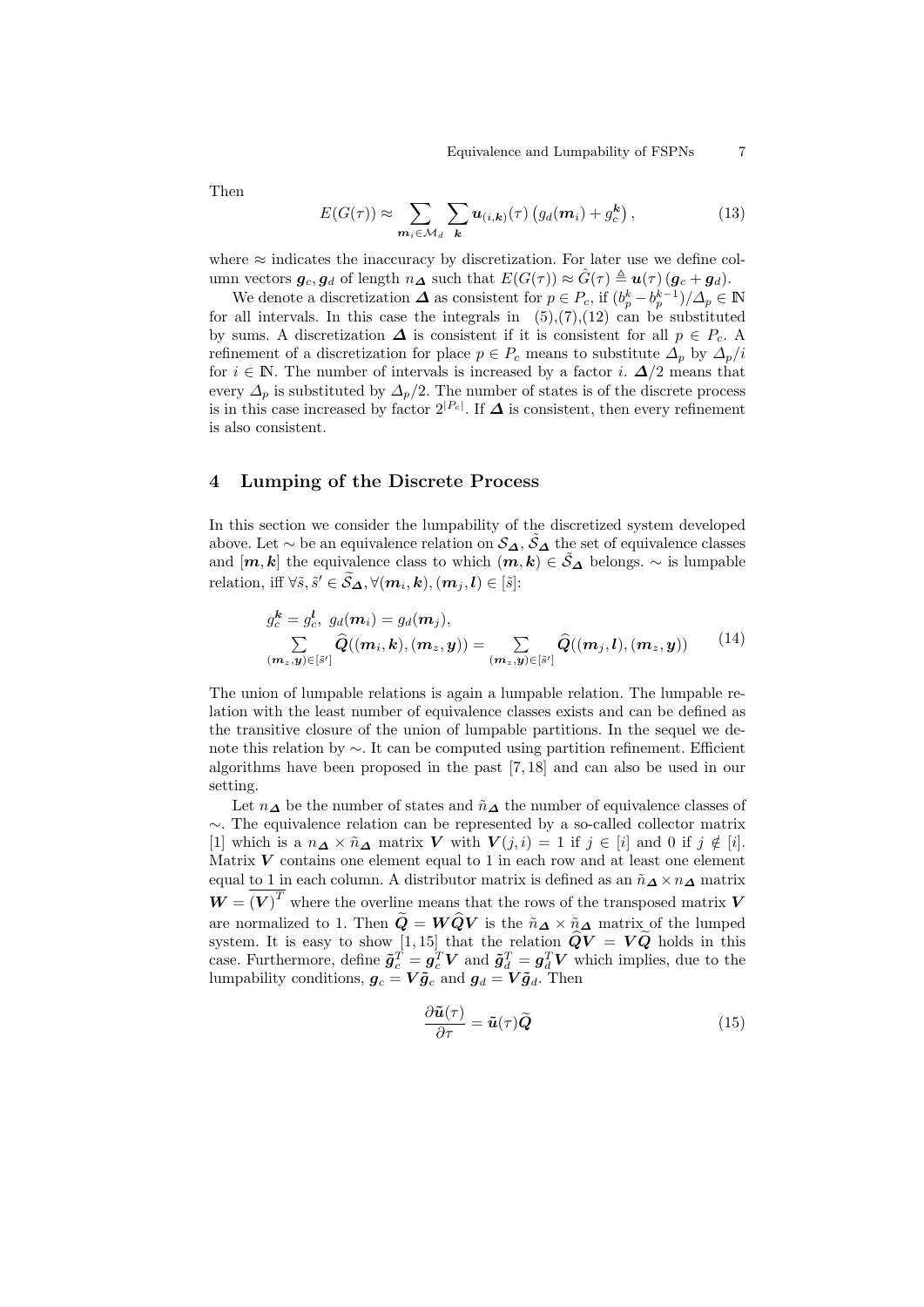Equivalence and Lumpability of FSPNs 7

Then

$$
E(G(\tau)) \approx \sum_{\mathbf{m}_i \in \mathcal{M}_d} \sum_{\mathbf{k}} \mathbf{u}_{(i,\mathbf{k})}(\tau) \left( g_d(\mathbf{m}_i) + g_c^{\mathbf{k}} \right), \tag{13}
$$

where  $\approx$  indicates the inaccuracy by discretization. For later use we define column vectors  $g_c, g_d$  of length  $n_{\Delta}$  such that  $E(G(\tau)) \approx \hat{G}(\tau) \triangleq u(\tau) (g_c + g_d)$ .

We denote a discretization  $\Delta$  as consistent for  $p \in P_c$ , if  $(b_p^k - b_p^{k-1})/\Delta_p \in \mathbb{N}$ for all intervals. In this case the integrals in  $(5),(7),(12)$  can be substituted by sums. A discretization  $\Delta$  is consistent if it is consistent for all  $p \in P_c$ . refinement of a discretization for place  $p \in P_c$  means to substitute  $\Delta_p$  by  $\Delta_p/i$ for  $i \in \mathbb{N}$ . The number of intervals is increased by a factor i.  $\Delta/2$  means that every  $\Delta_p$  is substituted by  $\Delta_p/2$ . The number of states is of the discrete process is in this case increased by factor  $2^{|P_c|}$ . If  $\Delta$  is consistent, then every refinement is also consistent.

### 4 Lumping of the Discrete Process

In this section we consider the lumpability of the discretized system developed above. Let  $\sim$  be an equivalence relation on  $\mathcal{S}_{\Delta}$ ,  $\tilde{\mathcal{S}}_{\Delta}$  the set of equivalence classes and  $[m, k]$  the equivalence class to which  $(m, k) \in \tilde{S}_{\Delta}$  belongs.  $\sim$  is lumpable relation, iff  $\forall \tilde{s}, \tilde{s}' \in \widetilde{\mathcal{S}}_{\mathbf{\Delta}}, \forall (\boldsymbol{m}_i, \boldsymbol{k}), (\boldsymbol{m}_j, \boldsymbol{l}) \in [\tilde{s}]$ :

$$
g_c^{\mathbf{k}} = g_c^{\mathbf{l}}, \ g_d(\mathbf{m}_i) = g_d(\mathbf{m}_j),
$$
  

$$
\sum_{(\mathbf{m}_z, \mathbf{y}) \in [\tilde{s}']} \hat{Q}((\mathbf{m}_i, \mathbf{k}), (\mathbf{m}_z, \mathbf{y})) = \sum_{(\mathbf{m}_z, \mathbf{y}) \in [\tilde{s}']} \hat{Q}((\mathbf{m}_j, \mathbf{l}), (\mathbf{m}_z, \mathbf{y})) \qquad (14)
$$

The union of lumpable relations is again a lumpable relation. The lumpable relation with the least number of equivalence classes exists and can be defined as the transitive closure of the union of lumpable partitions. In the sequel we denote this relation by ∼. It can be computed using partition refinement. Efficient algorithms have been proposed in the past [7, 18] and can also be used in our setting.

Let  $n_{\Delta}$  be the number of states and  $\tilde{n}_{\Delta}$  the number of equivalence classes of ∼. The equivalence relation can be represented by a so-called collector matrix [1] which is a  $n_{\mathbf{\Delta}} \times \tilde{n}_{\mathbf{\Delta}}$  matrix V with  $V(j, i) = 1$  if  $j \in [i]$  and 0 if  $j \notin [i]$ . Matrix  $V$  contains one element equal to 1 in each row and at least one element equal to 1 in each column. A distributor matrix is defined as an  $\tilde{n}_{\Delta} \times n_{\Delta}$  matrix  $\boldsymbol{W} = (\boldsymbol{V})^T$  where the overline means that the rows of the transposed matrix  $\boldsymbol{V}$ are normalized to 1. Then  $\widetilde{Q} = W\widehat{Q}V$  is the  $\widetilde{n}_{\Delta} \times \widetilde{n}_{\Delta}$  matrix of the lumped system. It is easy to show [1, 15] that the relation  $QV = VQ$  holds in this case. Furthermore, define  $\tilde{g}_c^T = g_c^T V$  and  $\tilde{g}_d^T = g_d^T V$  which implies, due to the lumpability conditions,  $g_c = V \tilde{g}_c$  and  $g_d = V \tilde{g}_d$ . Then

$$
\frac{\partial \tilde{\mathbf{u}}(\tau)}{\partial \tau} = \tilde{\mathbf{u}}(\tau) \tilde{\mathbf{Q}} \tag{15}
$$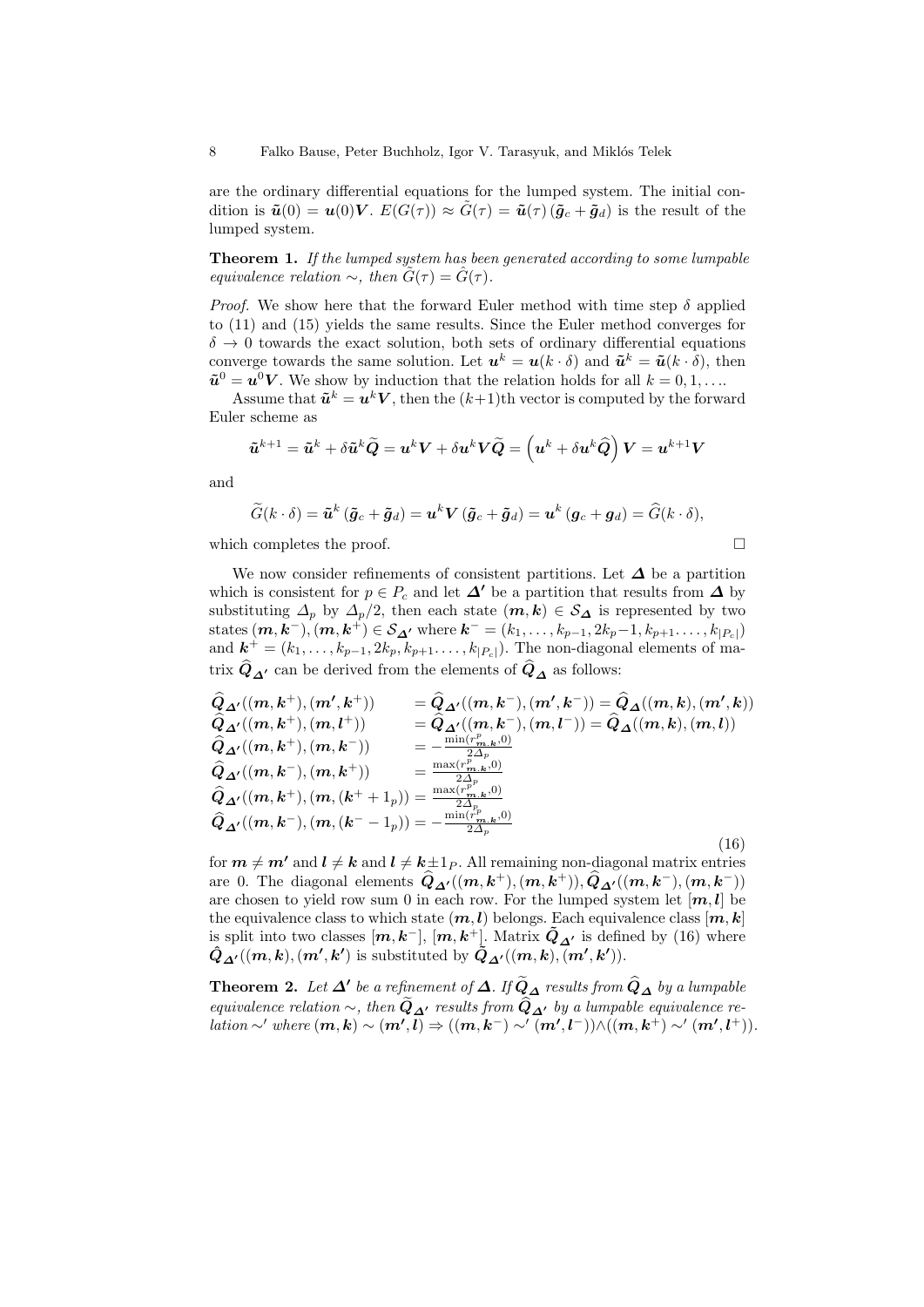are the ordinary differential equations for the lumped system. The initial condition is  $\tilde{\mathbf{u}}(0) = \mathbf{u}(0)\mathbf{V}$ .  $E(G(\tau)) \approx G(\tau) = \tilde{\mathbf{u}}(\tau)(\tilde{\mathbf{g}}_c + \tilde{\mathbf{g}}_d)$  is the result of the lumped system.

Theorem 1. If the lumped system has been generated according to some lumpable equivalence relation  $\sim$ , then  $G(\tau) = \hat{G}(\tau)$ .

*Proof.* We show here that the forward Euler method with time step  $\delta$  applied to (11) and (15) yields the same results. Since the Euler method converges for  $\delta \rightarrow 0$  towards the exact solution, both sets of ordinary differential equations converge towards the same solution. Let  $u^k = u(k \cdot \delta)$  and  $\tilde{u}^k = \tilde{u}(k \cdot \delta)$ , then  $\tilde{\mathbf{u}}^0 = \mathbf{u}^0 \mathbf{V}$ . We show by induction that the relation holds for all  $k = 0, 1, \dots$ 

Assume that  $\tilde{\boldsymbol{u}}^k = \boldsymbol{u}^k \boldsymbol{V}$ , then the  $(k+1)$ th vector is computed by the forward Euler scheme as

$$
\tilde{\boldsymbol{u}}^{k+1}=\tilde{\boldsymbol{u}}^k+\delta\tilde{\boldsymbol{u}}^k\widetilde{\boldsymbol{Q}}=\boldsymbol{u}^k\boldsymbol{V}+\delta\boldsymbol{u}^k\boldsymbol{V}\widetilde{\boldsymbol{Q}}=\left(\boldsymbol{u}^k+\delta\boldsymbol{u}^k\widehat{\boldsymbol{Q}}\right)\boldsymbol{V}=\boldsymbol{u}^{k+1}\boldsymbol{V}
$$

and

$$
\widetilde{G}(k \cdot \delta) = \widetilde{\boldsymbol{u}}^k \left( \widetilde{\boldsymbol{g}}_c + \widetilde{\boldsymbol{g}}_d \right) = \boldsymbol{u}^k \boldsymbol{V} \left( \widetilde{\boldsymbol{g}}_c + \widetilde{\boldsymbol{g}}_d \right) = \boldsymbol{u}^k \left( \boldsymbol{g}_c + \boldsymbol{g}_d \right) = \widehat{G}(k \cdot \delta),
$$

which completes the proof.  $\Box$ 

We now consider refinements of consistent partitions. Let  $\Delta$  be a partition which is consistent for  $p \in P_c$  and let  $\Delta'$  be a partition that results from  $\Delta$  by substituting  $\Delta_p$  by  $\Delta_p/2$ , then each state  $(m, k) \in S_{\Delta}$  is represented by two states  $(\bm{m}, \bm{k}^-), (\bm{m}, \bm{k}^+) \in \mathcal{S}_{\bm{\Delta'}}$  where  $\bm{k}^- = (k_1, \dots, k_{p-1}, 2k_p-1, k_{p+1}, \dots, k_{|P_c|})$ and  $\mathbf{k}^+ = (k_1, \ldots, k_{p-1}, 2k_p, k_{p+1}, \ldots, k_{|P_c|})$ . The non-diagonal elements of matrix  $\hat{Q}_{\Delta}$  can be derived from the elements of  $\hat{Q}_{\Delta}$  as follows:

$$
\begin{array}{ll}\n\hat{Q}_{\Delta'}((m, k^+), (m', k^+)) & = \hat{Q}_{\Delta'}((m, k^-), (m', k^-)) = \hat{Q}_{\Delta}((m, k), (m', k)) \\
\hat{Q}_{\Delta'}((m, k^+), (m, l^+)) & = \hat{Q}_{\Delta'}((m, k^-), (m, l^-)) = \hat{Q}_{\Delta}((m, k), (m, l)) \\
\hat{Q}_{\Delta'}((m, k^+), (m, k^-)) & = -\frac{\min(r_{m, k}^p, 0)}{2\Delta_p} \\
\hat{Q}_{\Delta'}((m, k^-), (m, k^+)) & = \frac{\max(r_{m, k}^p, 0)}{2\Delta_p} \\
\hat{Q}_{\Delta'}((m, k^+), (m, (k^+ + 1_p)) = \frac{\max(r_{m, k}^p, 0)}{2\Delta_p} \\
\hat{Q}_{\Delta'}((m, k^-), (m, (k^- - 1_p)) = -\frac{\min(r_{m, k}^p, 0)}{2\Delta_p}\n\end{array} \tag{16}
$$

for  $m \neq m'$  and  $l \neq k$  and  $l \neq k\pm 1_P$ . All remaining non-diagonal matrix entries are 0. The diagonal elements  $\hat{Q}_{\Delta'}((m, k^+), (m, k^+)), \hat{Q}_{\Delta'}((m, k^-), (m, k^-))$ are chosen to yield row sum 0 in each row. For the lumped system let  $[m, l]$  be the equivalence class to which state  $(m, l)$  belongs. Each equivalence class  $[m, k]$ is split into two classes  $[m, k^-]$ ,  $[m, k^+]$ . Matrix  $\tilde{Q}_{\Delta'}$  is defined by (16) where  $\hat{Q}_{\Delta'}((m,k),(m',k')$  is substituted by  $\tilde{Q}_{\Delta'}((m,k),\overline{(m',k')}).$ 

**Theorem 2.** Let  $\Delta'$  be a refinement of  $\Delta$ . If  $\widetilde{Q}_{\Delta}$  results from  $\widehat{Q}_{\Delta}$  by a lumpable equivalence relation ~, then  $Q_{\Delta'}$  results from  $Q_{\Delta'}$  by a lumpable equivalence relation ~' where  $(m, k) \sim (m', l) \Rightarrow ((m, k^{-}) \sim' (m', l^{-})) \wedge ((m, k^{+}) \sim' (m', l^{+})).$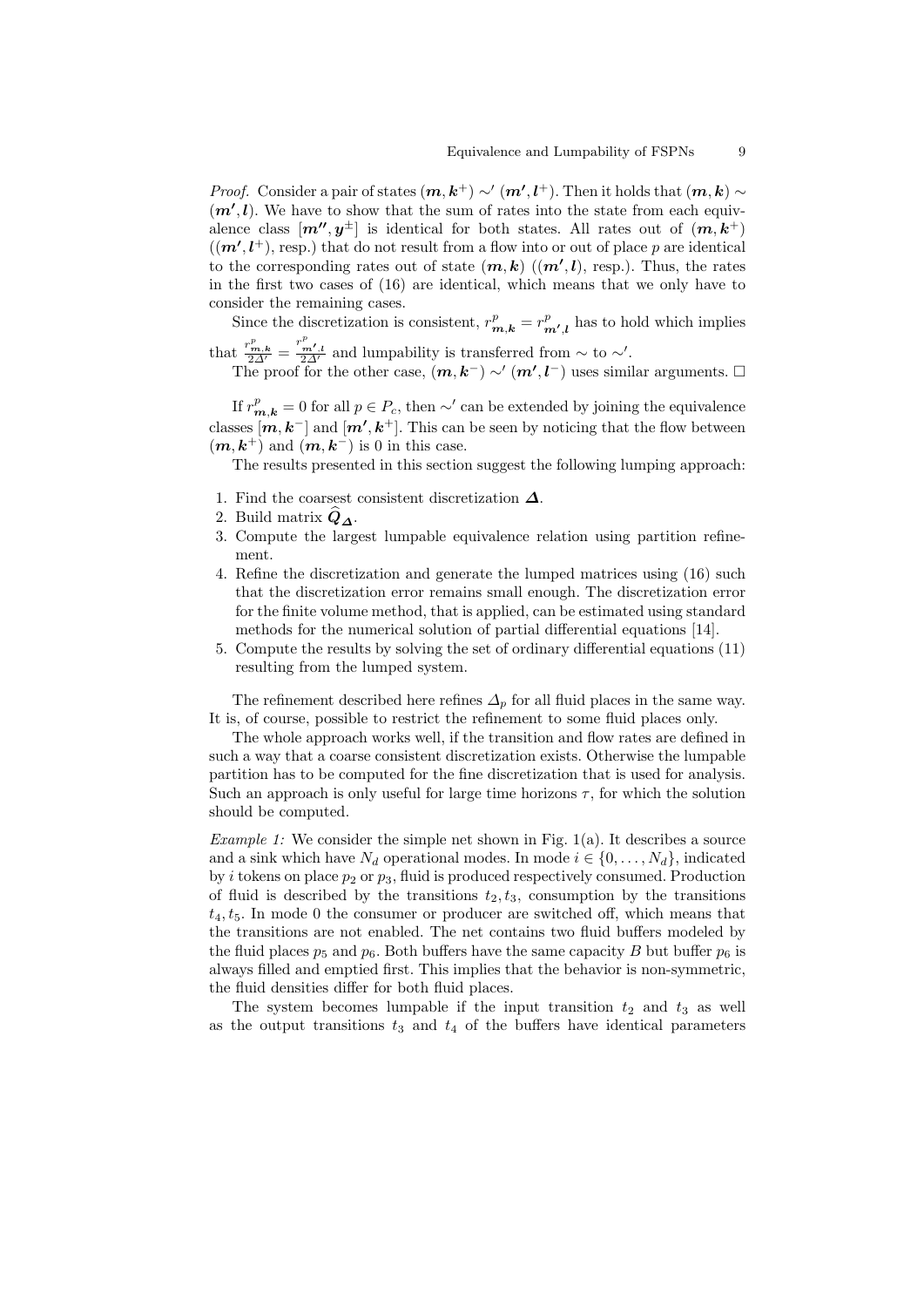*Proof.* Consider a pair of states  $(m, k<sup>+</sup>) \sim' (m', l<sup>+</sup>)$ . Then it holds that  $(m, k) \sim$  $(m',l)$ . We have to show that the sum of rates into the state from each equivalence class  $[m'', y^{\pm}]$  is identical for both states. All rates out of  $(m, k^+)$  $((m', l^+), \text{resp.})$  that do not result from a flow into or out of place p are identical to the corresponding rates out of state  $(m, k)$   $((m', l)$ , resp.). Thus, the rates in the first two cases of (16) are identical, which means that we only have to consider the remaining cases.

Since the discretization is consistent,  $r_{m,k}^p = r_{m',l}^p$  has to hold which implies

that  $\frac{r_{m,k}^p}{2\Delta'} = \frac{r_{m',l}^p}{2\Delta'}$  and lumpability is transferred from  $\sim$  to  $\sim'$ .

The proof for the other case,  $(m, k^-) \sim (m', l^-)$  uses similar arguments.  $\Box$ 

If  $r_{m,k}^p = 0$  for all  $p \in P_c$ , then ∼' can be extended by joining the equivalence classes  $[m, k^-]$  and  $[m', k^+]$ . This can be seen by noticing that the flow between  $(m, k<sup>+</sup>)$  and  $(m, k<sup>-</sup>)$  is 0 in this case.

The results presented in this section suggest the following lumping approach:

- 1. Find the coarsest consistent discretization  $\Delta$ .
- 2. Build matrix  $Q_{\Lambda}$ .
- 3. Compute the largest lumpable equivalence relation using partition refinement.
- 4. Refine the discretization and generate the lumped matrices using (16) such that the discretization error remains small enough. The discretization error for the finite volume method, that is applied, can be estimated using standard methods for the numerical solution of partial differential equations [14].
- 5. Compute the results by solving the set of ordinary differential equations (11) resulting from the lumped system.

The refinement described here refines  $\Delta_p$  for all fluid places in the same way. It is, of course, possible to restrict the refinement to some fluid places only.

The whole approach works well, if the transition and flow rates are defined in such a way that a coarse consistent discretization exists. Otherwise the lumpable partition has to be computed for the fine discretization that is used for analysis. Such an approach is only useful for large time horizons  $\tau$ , for which the solution should be computed.

*Example 1:* We consider the simple net shown in Fig.  $1(a)$ . It describes a source and a sink which have  $N_d$  operational modes. In mode  $i \in \{0, \ldots, N_d\}$ , indicated by i tokens on place  $p_2$  or  $p_3$ , fluid is produced respectively consumed. Production of fluid is described by the transitions  $t_2, t_3$ , consumption by the transitions  $t_4, t_5$ . In mode 0 the consumer or producer are switched off, which means that the transitions are not enabled. The net contains two fluid buffers modeled by the fluid places  $p_5$  and  $p_6$ . Both buffers have the same capacity B but buffer  $p_6$  is always filled and emptied first. This implies that the behavior is non-symmetric, the fluid densities differ for both fluid places.

The system becomes lumpable if the input transition  $t_2$  and  $t_3$  as well as the output transitions  $t_3$  and  $t_4$  of the buffers have identical parameters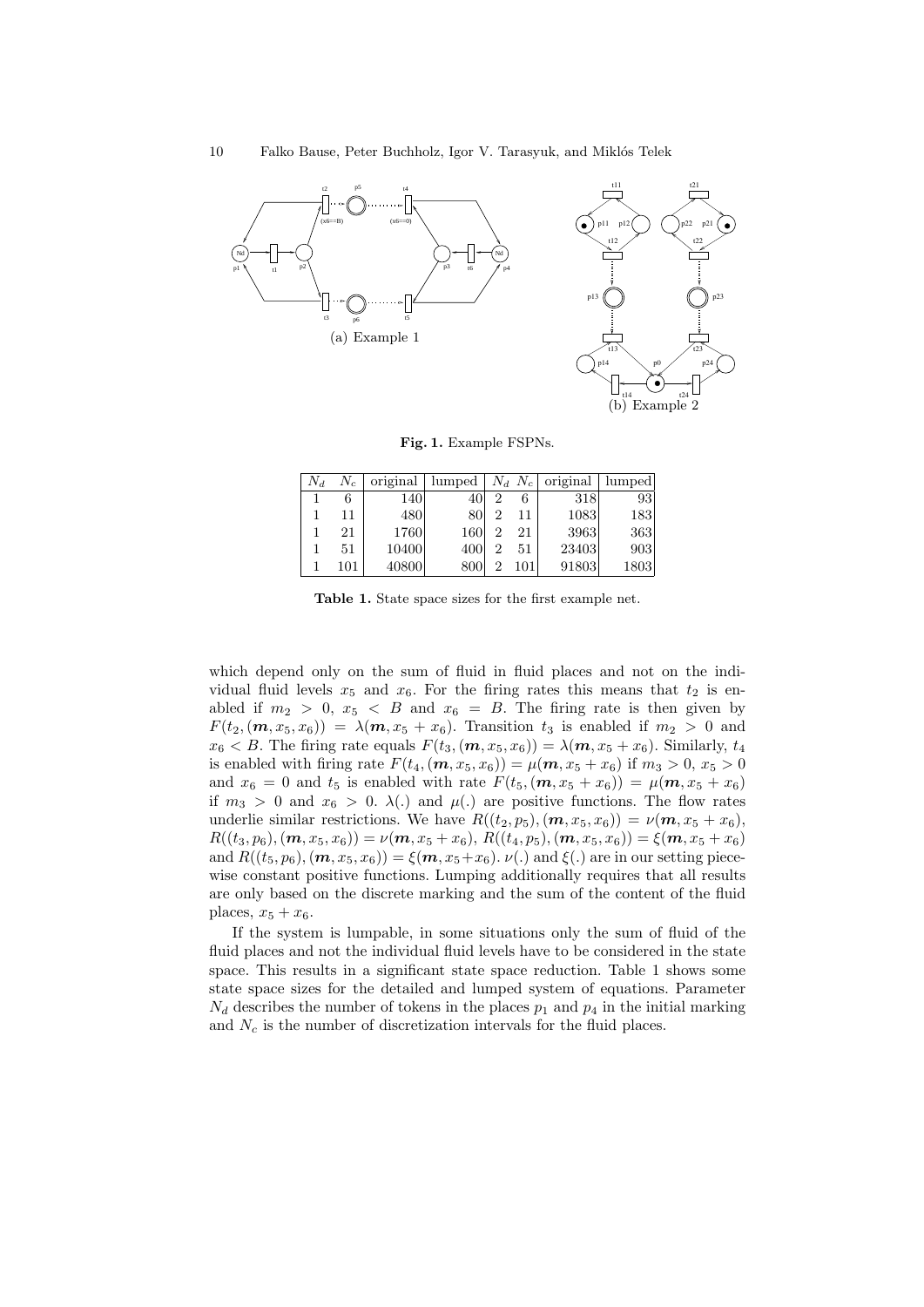

Fig. 1. Example FSPNs.

| $N_d$ | $N_c$ |       |     |   |     | original   lumped   $N_d$ $N_c$   original   lumped |      |
|-------|-------|-------|-----|---|-----|-----------------------------------------------------|------|
|       |       | 140   | 40  | 2 | 6   | 318                                                 | 93   |
|       | 11    | 480   | 80  | 2 | 11  | 1083                                                | 183  |
|       | 21    | 1760  | 160 | 2 | 21  | 3963                                                | 363  |
|       | 51    | 10400 | 400 | 2 | 51  | 23403                                               | 903  |
|       | 101   | 40800 | 800 |   | 101 | 91803                                               | 1803 |

Table 1. State space sizes for the first example net.

which depend only on the sum of fluid in fluid places and not on the individual fluid levels  $x_5$  and  $x_6$ . For the firing rates this means that  $t_2$  is enabled if  $m_2 > 0$ ,  $x_5 < B$  and  $x_6 = B$ . The firing rate is then given by  $F(t_2, (m, x_5, x_6)) = \lambda(m, x_5 + x_6)$ . Transition  $t_3$  is enabled if  $m_2 > 0$  and  $x_6 < B$ . The firing rate equals  $F(t_3, (m, x_5, x_6)) = \lambda(m, x_5 + x_6)$ . Similarly,  $t_4$ is enabled with firing rate  $F(t_4, (m, x_5, x_6)) = \mu(m, x_5 + x_6)$  if  $m_3 > 0, x_5 > 0$ and  $x_6 = 0$  and  $t_5$  is enabled with rate  $F(t_5, (m, x_5 + x_6)) = \mu(m, x_5 + x_6)$ if  $m_3 > 0$  and  $x_6 > 0$ .  $\lambda(.)$  and  $\mu(.)$  are positive functions. The flow rates underlie similar restrictions. We have  $R((t_2, p_5), (\mathbf{m}, x_5, x_6)) = \nu(\mathbf{m}, x_5 + x_6)$ ,  $R((t_3, p_6), (\mathbf{m}, x_5, x_6)) = \nu(\mathbf{m}, x_5 + x_6), R((t_4, p_5), (\mathbf{m}, x_5, x_6)) = \xi(\mathbf{m}, x_5 + x_6)$ and  $R((t_5, p_6), (\mathbf{m}, x_5, x_6)) = \xi(\mathbf{m}, x_5+x_6)$ .  $\nu(.)$  and  $\xi(.)$  are in our setting piecewise constant positive functions. Lumping additionally requires that all results are only based on the discrete marking and the sum of the content of the fluid places,  $x_5 + x_6$ .

If the system is lumpable, in some situations only the sum of fluid of the fluid places and not the individual fluid levels have to be considered in the state space. This results in a significant state space reduction. Table 1 shows some state space sizes for the detailed and lumped system of equations. Parameter  $N_d$  describes the number of tokens in the places  $p_1$  and  $p_4$  in the initial marking and  $N_c$  is the number of discretization intervals for the fluid places.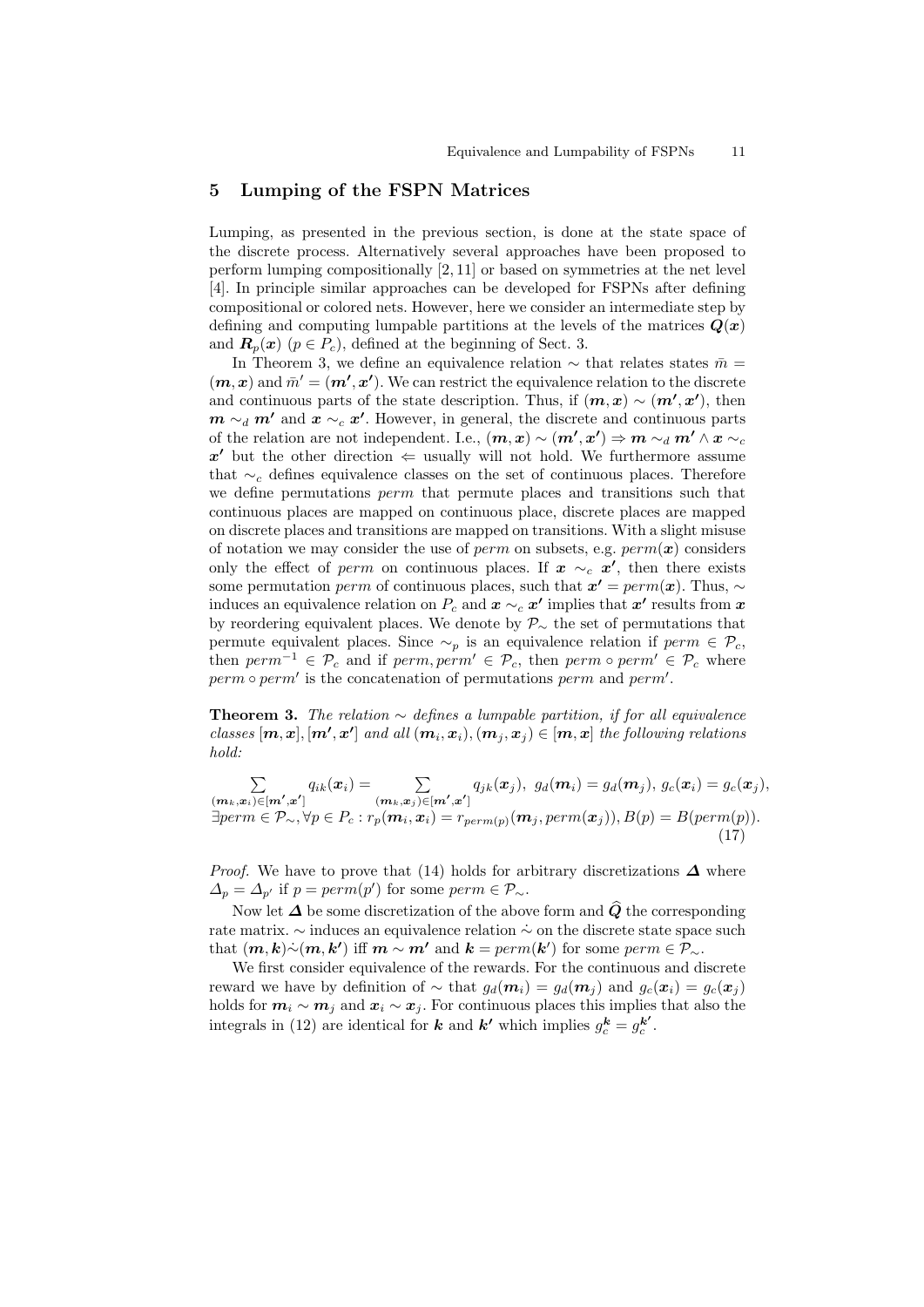#### 5 Lumping of the FSPN Matrices

Lumping, as presented in the previous section, is done at the state space of the discrete process. Alternatively several approaches have been proposed to perform lumping compositionally [2, 11] or based on symmetries at the net level [4]. In principle similar approaches can be developed for FSPNs after defining compositional or colored nets. However, here we consider an intermediate step by defining and computing lumpable partitions at the levels of the matrices  $Q(x)$ and  $\mathbf{R}_p(x)$  ( $p \in P_c$ ), defined at the beginning of Sect. 3.

In Theorem 3, we define an equivalence relation  $\sim$  that relates states  $\bar{m} =$  $(m, x)$  and  $\bar{m}' = (m', x')$ . We can restrict the equivalence relation to the discrete and continuous parts of the state description. Thus, if  $(m, x) \sim (m', x')$ , then  $m \sim_d m'$  and  $x \sim_c x'$ . However, in general, the discrete and continuous parts of the relation are not independent. I.e.,  $(m, x) \sim (m', x') \Rightarrow m \sim_d m' \wedge x \sim_c$ x' but the other direction  $\Leftarrow$  usually will not hold. We furthermore assume that  $\sim_c$  defines equivalence classes on the set of continuous places. Therefore we define permutations perm that permute places and transitions such that continuous places are mapped on continuous place, discrete places are mapped on discrete places and transitions are mapped on transitions. With a slight misuse of notation we may consider the use of perm on subsets, e.g.  $perm(x)$  considers only the effect of perm on continuous places. If  $x \sim_c x'$ , then there exists some permutation *perm* of continuous places, such that  $x' = perm(x)$ . Thus, ∼ induces an equivalence relation on  $P_c$  and  $\boldsymbol{x} \sim_c \boldsymbol{x'}$  implies that  $\boldsymbol{x'}$  results from  $\boldsymbol{x}$ by reordering equivalent places. We denote by  $\mathcal{P}_{\sim}$  the set of permutations that permute equivalent places. Since  $\sim_p$  is an equivalence relation if perm  $\in \mathcal{P}_c$ , then  $perm^{-1} \in \mathcal{P}_c$  and if  $perm, perm' \in \mathcal{P}_c$ , then  $perm \circ perm' \in \mathcal{P}_c$  where  $perm \circ perm'$  is the concatenation of permutations perm and perm'.

**Theorem 3.** The relation  $\sim$  defines a lumpable partition, if for all equivalence classes  $[m, x], [m', x']$  and all  $(m_i, x_i), (m_j, x_j) \in [m, x]$  the following relations hold:

$$
\sum_{\substack{(\mathbf{m}_k,\mathbf{x}_i)\in[\mathbf{m}',\mathbf{x}']\\ \exists perm\in\mathcal{P}_{\sim},\forall p\in P_c : r_p(\mathbf{m}_i,\mathbf{x}_i) = r_{perm(p)}}} q_{jk}(\mathbf{x}_j),\,\,g_d(\mathbf{m}_i) = g_d(\mathbf{m}_j),\,g_c(\mathbf{x}_i) = g_c(\mathbf{x}_j),
$$
\n
$$
\exists perm\in\mathcal{P}_{\sim},\forall p\in P_c : r_p(\mathbf{m}_i,\mathbf{x}_i) = r_{perm(p)}(\mathbf{m}_j,perm(\mathbf{x}_j)),\,B(p) = B(perm(p)).
$$
\n(17)

*Proof.* We have to prove that (14) holds for arbitrary discretizations  $\Delta$  where  $\Delta_p = \Delta_{p'}$  if  $p = perm(p')$  for some  $perm \in \mathcal{P}_{\sim}$ .

Now let  $\Delta$  be some discretization of the above form and  $\widehat{Q}$  the corresponding rate matrix. ∼ induces an equivalence relation  $\dot{\sim}$  on the discrete state space such that  $(m, k) \sim (m, k')$  iff  $m \sim m'$  and  $k = perm(k')$  for some perm  $\in \mathcal{P}_{\sim}$ .

We first consider equivalence of the rewards. For the continuous and discrete reward we have by definition of  $\sim$  that  $g_d(\mathbf{m}_i) = g_d(\mathbf{m}_j)$  and  $g_c(\mathbf{x}_i) = g_c(\mathbf{x}_j)$ holds for  $m_i \sim m_j$  and  $x_i \sim x_j$ . For continuous places this implies that also the integrals in (12) are identical for **k** and **k'** which implies  $g_c^{\mathbf{k}} = g_c^{\mathbf{k'}}$ .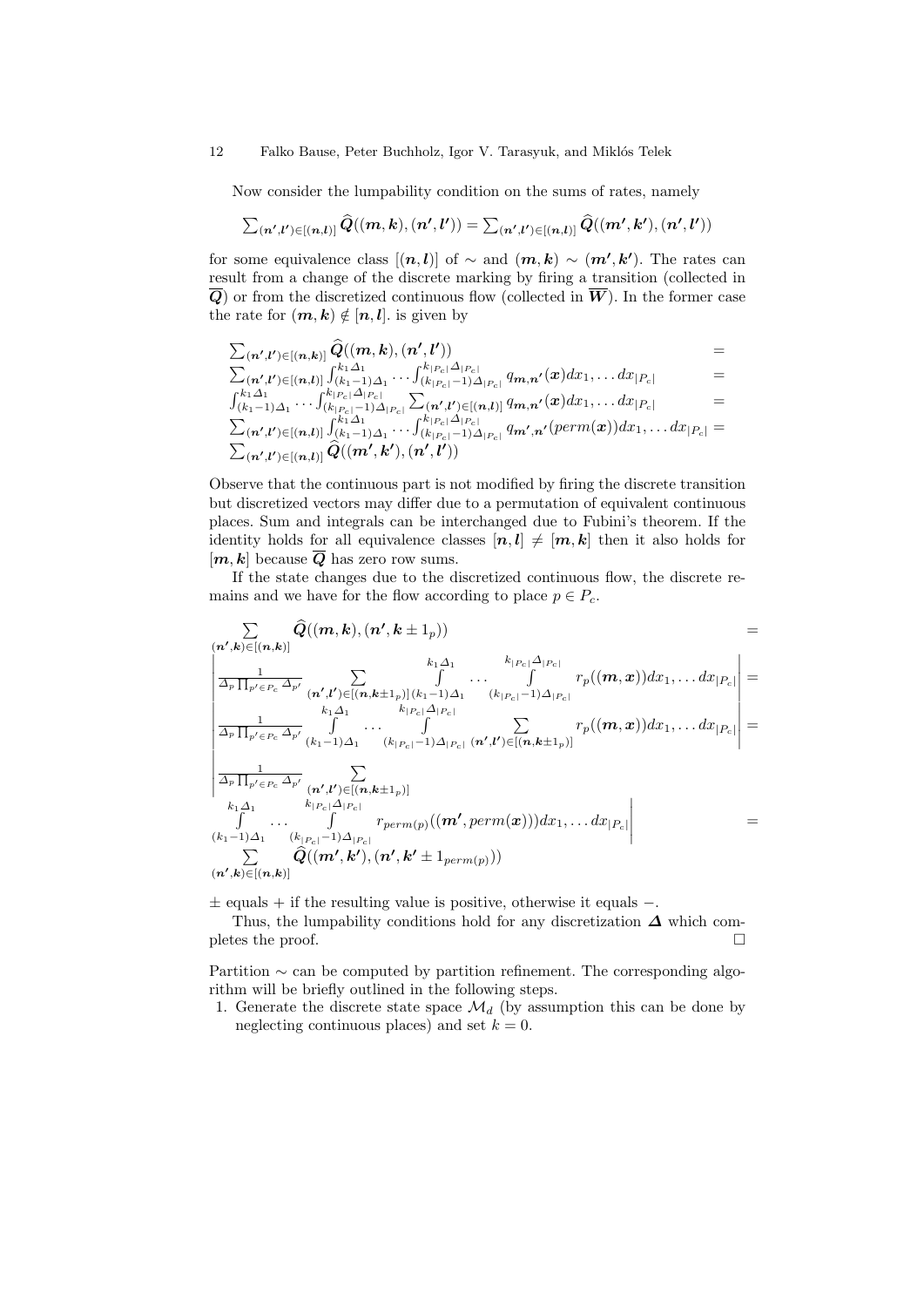12 Falko Bause, Peter Buchholz, Igor V. Tarasyuk, and Miklós Telek

Now consider the lumpability condition on the sums of rates, namely

$$
\textstyle \sum_{(\bm{n}', \bm{l}') \in [(\bm{n}, \bm{l})]} \widehat{Q}((\bm{m}, \bm{k}), (\bm{n}', \bm{l}')) = \sum_{(\bm{n}', \bm{l}') \in [(\bm{n}, \bm{l})]} \widehat{Q}((\bm{m}', \bm{k}'), (\bm{n}', \bm{l}'))
$$

for some equivalence class  $[(n, l)]$  of  $\sim$  and  $(m, k) \sim (m', k')$ . The rates can result from a change of the discrete marking by firing a transition (collected in  $\overline{Q}$ ) or from the discretized continuous flow (collected in  $\overline{W}$ ). In the former case the rate for  $(m, k) \notin [n, l]$ . is given by

$$
\begin{array}{lll} & \sum_{(\mathbf{n}',\mathbf{l}')\in[(\mathbf{n},\mathbf{k})]}\widehat{Q}((\mathbf{m},\mathbf{k}),(\mathbf{n}',\mathbf{l}')) & = \\ & \sum_{(\mathbf{n}',\mathbf{l}')\in[(\mathbf{n},\mathbf{l})]}\int_{(k_1-1)\Delta_1}^{k_1\Delta_1}\cdots\int_{(k_{|P_c|}-1)\Delta_{|P_c|}}^{k_{|P_c|}\Delta_{|P_c|}}q_{\mathbf{m},\mathbf{n}'}(\mathbf{x})dx_1,\ldots dx_{|P_c|} & = \\ & & \int_{(k_1-1)\Delta_1}^{k_1\Delta_1}\cdots\int_{(k_{|P_c|}-1)\Delta_{|P_c|}}^{k_{|P_c|}\Delta_{|P_c|}}\sum_{(\mathbf{n}',\mathbf{l}')\in[(\mathbf{n},\mathbf{l})]}\,q_{\mathbf{m},\mathbf{n}'}(\mathbf{x})dx_1,\ldots dx_{|P_c|} & = \\ & & \sum_{(\mathbf{n}',\mathbf{l}')\in[(\mathbf{n},\mathbf{l})]}\int_{(k_1-1)\Delta_1}^{k_1\Delta_1}\cdots\int_{(k_{|P_c|}-1)\Delta_{|P_c|}}^{k_{|P_c|}\Delta_{|P_c|}}q_{\mathbf{m}',\mathbf{n}'}(\text{perm}(\mathbf{x}))dx_1,\ldots dx_{|P_c|} = \\ & & \sum_{(\mathbf{n}',\mathbf{l}')\in[(\mathbf{n},\mathbf{l})]}\widehat{Q}((\mathbf{m}',\mathbf{k}'),(\mathbf{n}',\mathbf{l}')) & \end{array}
$$

Observe that the continuous part is not modified by firing the discrete transition but discretized vectors may differ due to a permutation of equivalent continuous places. Sum and integrals can be interchanged due to Fubini's theorem. If the identity holds for all equivalence classes  $[n, l] \neq [m, k]$  then it also holds for  $[m, k]$  because  $\overline{Q}$  has zero row sums.

If the state changes due to the discretized continuous flow, the discrete remains and we have for the flow according to place  $p \in P_c$ .

$$
\sum_{(\mathbf{n}',\mathbf{k})\in[(\mathbf{n},\mathbf{k})]} \widehat{Q}((\mathbf{m},\mathbf{k}),(\mathbf{n}',\mathbf{k}\pm 1_p)) =
$$
\n
$$
\frac{\sum_{\substack{\mathbf{n},\mathbf{n}'\\ \mathbf{n}'\in P_c}} \widehat{Q}_{\mathbf{n}'}}(\mathbf{n}',\mathbf{l}')\sum_{\substack{k_1,\mathbf{n}'\\ k_1\mathbf{n}'\in [(\mathbf{n},\mathbf{k}\pm 1_p)](k_1-1)\mathbf{n}'\\ k_1\mathbf{n}'\in P_c}} \frac{k_1\mathbf{n}'_1}{\int \cdots \int \frac{k_{|P_c|}\mathbf{n}'_{|P_c|}}{(k_{|P_c|-1})\mathbf{n}'_{|P_c|}} d_{|P_c|} d_{|P_c|} d_{|P_c|} d_{|P_c|} d_{|P_c|} d_{|P_c|} d_{|P_c|} d_{|P_c|} d_{|P_c|} d_{|P_c|} d_{|P_c|} d_{|P_c|} d_{|P_c|} d_{|P_c|} d_{|P_c|} d_{|P_c|} d_{|P_c|} d_{|P_c|} d_{|P_c|} d_{|P_c|} d_{|P_c|} d_{|P_c|} d_{|P_c|} d_{|P_c|} d_{|P_c|} d_{|P_c|} d_{|P_c|} d_{|P_c|} d_{|P_c|} d_{|P_c|} d_{|P_c|} d_{|P_c|} d_{|P_c|} d_{|P_c|} d_{|P_c|} d_{|P_c|} d_{|P_c|} d_{|P_c|} d_{|P_c|} d_{|P_c|} d_{|P_c|} d_{|P_c|} d_{|P_c|} d_{|P_c|} d_{|P_c|} d_{|P_c|} d_{|P_c|} d_{|P_c|} d_{|P_c|} d_{|P_c|} d_{|P_c|} d_{|P_c|} d_{|P_c|} d_{|P_c|} d_{|P_c|} d_{|P_c|} d_{|P_c|} d_{|P_c|} d_{|P_c|} d_{|P_c|} d_{|P_c|} d_{|P_c|} d_{|P_c|} d_{|P_c|} d_{|P_c|} d_{|P_c|} d_{|P_c|} d_{|P_c|} d_{|P_c|} d_{|P_c|} d_{|P_c|} d_{|P_c|} d_{|P_c|} d_{|
$$

± equals + if the resulting value is positive, otherwise it equals −.

Thus, the lumpability conditions hold for any discretization  $\Delta$  which completes the proof.  $\Box$ 

Partition ∼ can be computed by partition refinement. The corresponding algorithm will be briefly outlined in the following steps.

1. Generate the discrete state space  $\mathcal{M}_d$  (by assumption this can be done by neglecting continuous places) and set  $k = 0$ .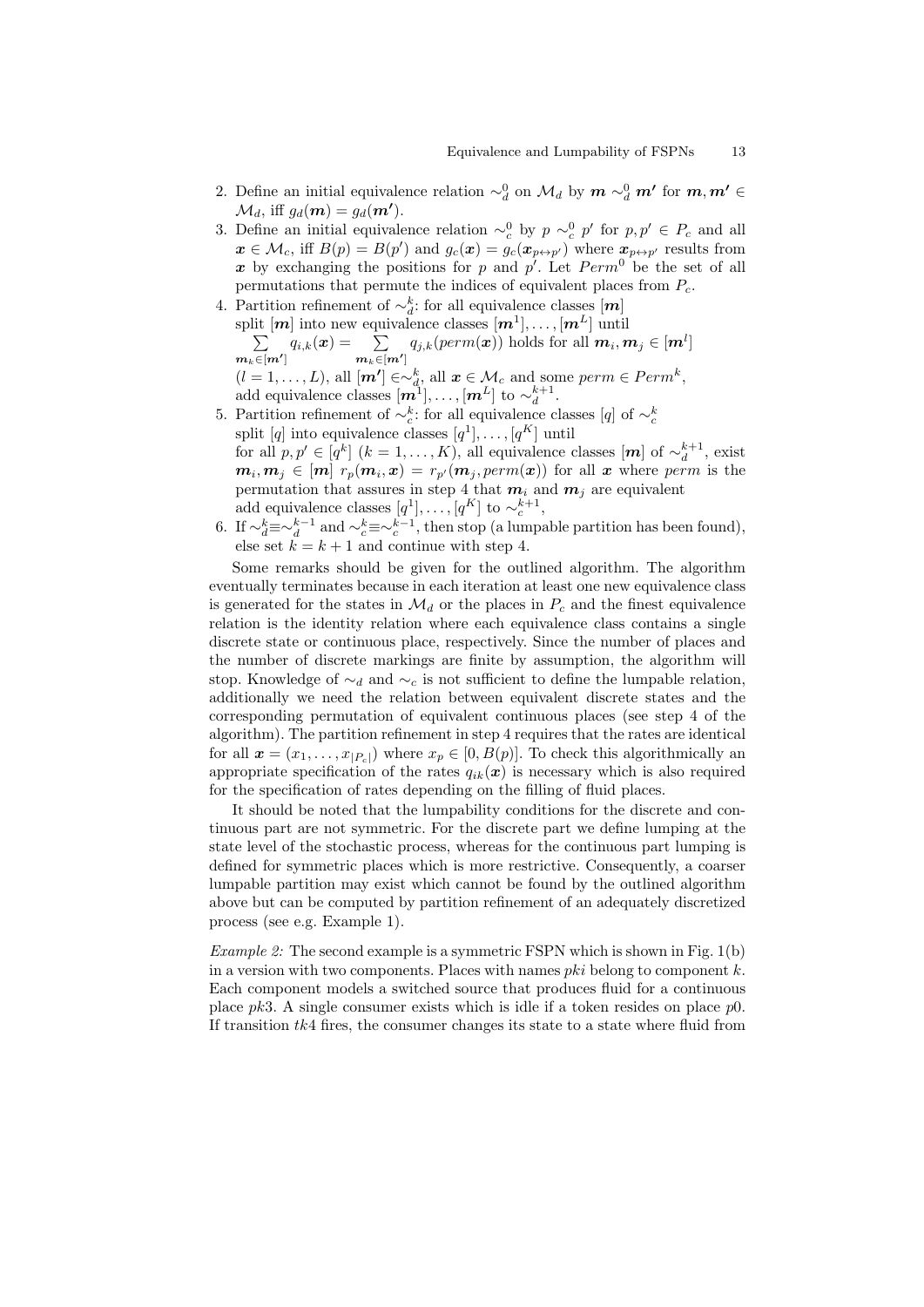- 2. Define an initial equivalence relation  $\sim_d^0$  on  $\mathcal{M}_d$  by  $m \sim_d^0 m'$  for  $m, m' \in$  $\mathcal{M}_d$ , iff  $g_d(\mathbf{m}) = g_d(\mathbf{m'})$ .
- 3. Define an initial equivalence relation  $\sim_c^0$  by  $p \sim_c^0 p'$  for  $p, p' \in P_c$  and all  $\mathbf{x} \in \mathcal{M}_c$ , iff  $B(p) = B(p')$  and  $g_c(\mathbf{x}) = g_c(\mathbf{x}_{p \leftrightarrow p'})$  where  $\mathbf{x}_{p \leftrightarrow p'}$  results from x by exchanging the positions for p and  $p'$ . Let  $Perm^0$  be the set of all permutations that permute the indices of equivalent places from  $P_c$ .
- 4. Partition refinement of  $\sim_d^k$ : for all equivalence classes  $[m]$ Function Tennement of  $\alpha_d$ , for an equivalence classes  $[m^1], \ldots, [m^L]$  $\sum$ ] until  $\bm{m}_k \!\in\! [\bm{m'}]$  $q_{i,k}(\boldsymbol{x}) = \quad \sum$  $\bm{m}_k \!\!\in\!\! [\bm{m'}]$  $q_{j,k}(perm(\boldsymbol{x}))$  holds for all  $\boldsymbol{m}_i, \boldsymbol{m}_j \in [\boldsymbol{m}^l]$  $(l = 1, \ldots, L)$ , all  $[m'] \in \sim_d^k$ , all  $x \in M_c$  and some perm  $\in Perm^k$ , add equivalence classes  $[\mathbf{m}^1], \dots, [\mathbf{m}^L]$  to  $\sim_d^{k+1}$ .
- 5. Partition refinement of  $\sim_c^k$ : for all equivalence classes [q] of  $\sim_c^k$ split [q] into equivalence classes  $[q^1], \ldots, [q^K]$  until for all  $p, p' \in [q^k]$   $(k = 1, ..., K)$ , all equivalence classes  $[m]$  of  $\sim_d^{k+1}$ , exist  $m_i, m_j \in [m]$   $r_p(m_i, x) = r_{p'}(m_j, perm(x))$  for all x where perm is the permutation that assures in step 4 that  $m_i$  and  $m_j$  are equivalent add equivalence classes  $[q^1], \ldots, [q^K]$  to  $\sim_c^{k+1}$ ,
- 6. If  $\sim_d^k \equiv \sim_d^{k-1}$  and  $\sim_c^k \equiv \sim_c^{k-1}$ , then stop (a lumpable partition has been found), else set  $k = k + 1$  and continue with step 4.

Some remarks should be given for the outlined algorithm. The algorithm eventually terminates because in each iteration at least one new equivalence class is generated for the states in  $\mathcal{M}_d$  or the places in  $P_c$  and the finest equivalence relation is the identity relation where each equivalence class contains a single discrete state or continuous place, respectively. Since the number of places and the number of discrete markings are finite by assumption, the algorithm will stop. Knowledge of  $\sim_d$  and  $\sim_c$  is not sufficient to define the lumpable relation, additionally we need the relation between equivalent discrete states and the corresponding permutation of equivalent continuous places (see step 4 of the algorithm). The partition refinement in step 4 requires that the rates are identical for all  $\mathbf{x} = (x_1, \ldots, x_{|P_c|})$  where  $x_p \in [0, B(p)]$ . To check this algorithmically an appropriate specification of the rates  $q_{ik}(x)$  is necessary which is also required for the specification of rates depending on the filling of fluid places.

It should be noted that the lumpability conditions for the discrete and continuous part are not symmetric. For the discrete part we define lumping at the state level of the stochastic process, whereas for the continuous part lumping is defined for symmetric places which is more restrictive. Consequently, a coarser lumpable partition may exist which cannot be found by the outlined algorithm above but can be computed by partition refinement of an adequately discretized process (see e.g. Example 1).

*Example 2:* The second example is a symmetric FSPN which is shown in Fig.  $1(b)$ in a version with two components. Places with names  $pki$  belong to component k. Each component models a switched source that produces fluid for a continuous place  $pk3$ . A single consumer exists which is idle if a token resides on place  $p0$ . If transition  $tk4$  fires, the consumer changes its state to a state where fluid from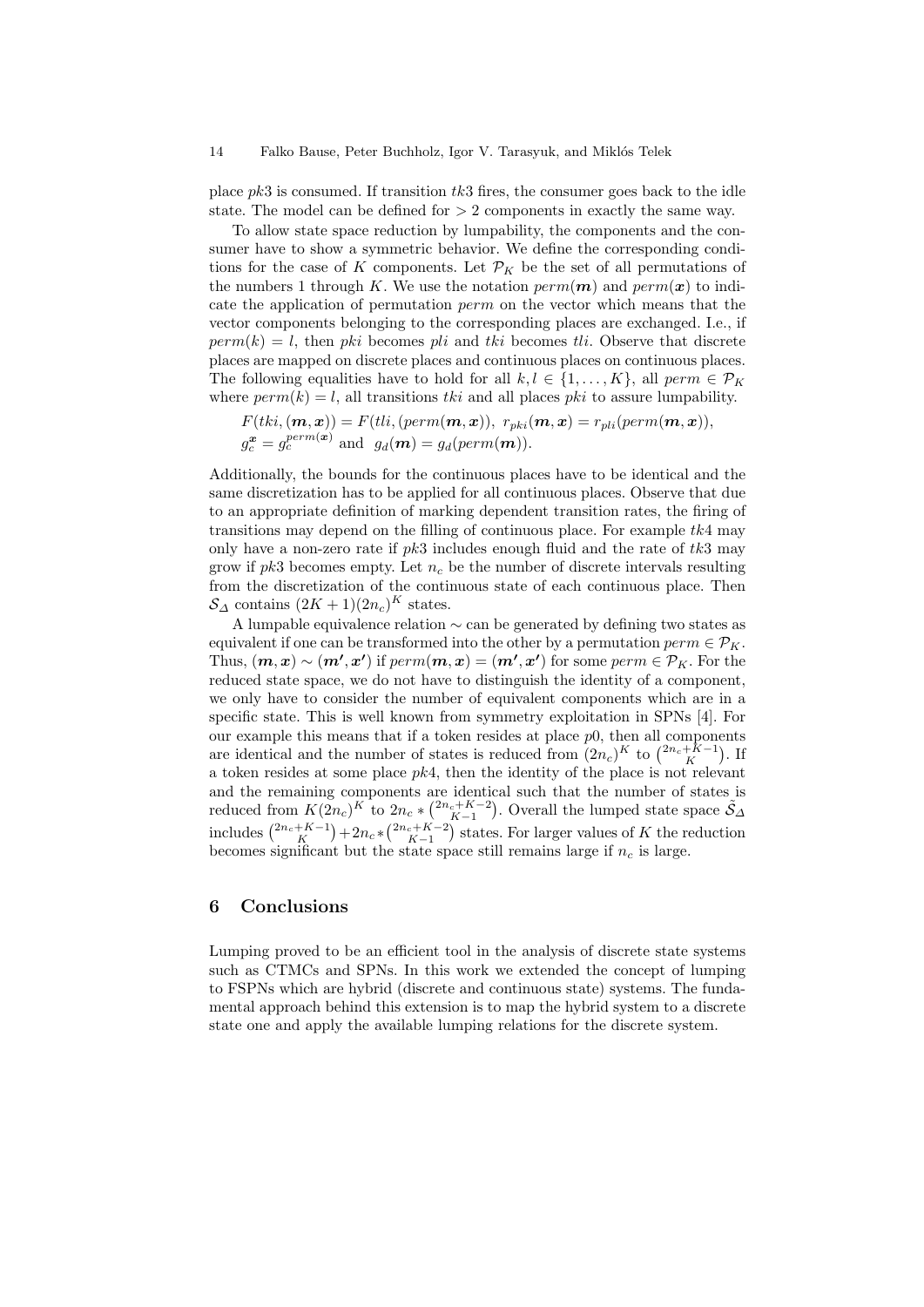place  $pk3$  is consumed. If transition  $tk3$  fires, the consumer goes back to the idle state. The model can be defined for  $> 2$  components in exactly the same way.

To allow state space reduction by lumpability, the components and the consumer have to show a symmetric behavior. We define the corresponding conditions for the case of K components. Let  $\mathcal{P}_K$  be the set of all permutations of the numbers 1 through K. We use the notation  $perm(m)$  and  $perm(x)$  to indicate the application of permutation perm on the vector which means that the vector components belonging to the corresponding places are exchanged. I.e., if  $perm(k) = l$ , then pki becomes pli and tki becomes that Observe that discrete places are mapped on discrete places and continuous places on continuous places. The following equalities have to hold for all  $k, l \in \{1, ..., K\}$ , all  $perm \in \mathcal{P}_K$ where  $perm(k) = l$ , all transitions tki and all places pki to assure lumpability.

$$
F(tki, (\boldsymbol{m}, \boldsymbol{x})) = F(tli, (perm(\boldsymbol{m}, \boldsymbol{x})), r_{pki}(\boldsymbol{m}, \boldsymbol{x}) = r_{pli}(perm(\boldsymbol{m}, \boldsymbol{x})),
$$
  
\n
$$
g_c^{\boldsymbol{x}} = g_c^{perm(\boldsymbol{x})}
$$
 and 
$$
g_d(\boldsymbol{m}) = g_d(perm(\boldsymbol{m})).
$$

Additionally, the bounds for the continuous places have to be identical and the same discretization has to be applied for all continuous places. Observe that due to an appropriate definition of marking dependent transition rates, the firing of transitions may depend on the filling of continuous place. For example  $tk4$  may only have a non-zero rate if  $pk3$  includes enough fluid and the rate of  $tk3$  may grow if  $pk3$  becomes empty. Let  $n_c$  be the number of discrete intervals resulting from the discretization of the continuous state of each continuous place. Then  $S_{\Delta}$  contains  $(2K+1)(2n_c)^K$  states.

A lumpable equivalence relation ∼ can be generated by defining two states as equivalent if one can be transformed into the other by a permutation  $perm \in \mathcal{P}_K$ . Thus,  $(\bm{m}, \bm{x}) \sim (\bm{m'}, \bm{x'})$  if  $perm(\bm{m}, \bm{x}) = (\bm{m'}, \bm{x'})$  for some  $perm \in \mathcal{P}_K$ . For the reduced state space, we do not have to distinguish the identity of a component, we only have to consider the number of equivalent components which are in a specific state. This is well known from symmetry exploitation in SPNs [4]. For our example this means that if a token resides at place  $p_0$ , then all components are identical and the number of states is reduced from  $(2n_c)^K$  to  $\binom{2n_c+K-1}{K}$ . If a token resides at some place  $pk4$ , then the identity of the place is not relevant and the remaining components are identical such that the number of states is reduced from  $K(2n_c)^K$  to  $2n_c * \binom{2n_c+K-2}{K-1}$ . Overall the lumped state space  $\tilde{S}_{\Delta}$ includes  $\binom{2n_c + K - 1}{K} + 2n_c * \binom{2n_c + K - 2}{K-1}$  states. For larger values of K the reduction becomes significant but the state space still remains large if  $n_c$  is large.

## 6 Conclusions

Lumping proved to be an efficient tool in the analysis of discrete state systems such as CTMCs and SPNs. In this work we extended the concept of lumping to FSPNs which are hybrid (discrete and continuous state) systems. The fundamental approach behind this extension is to map the hybrid system to a discrete state one and apply the available lumping relations for the discrete system.